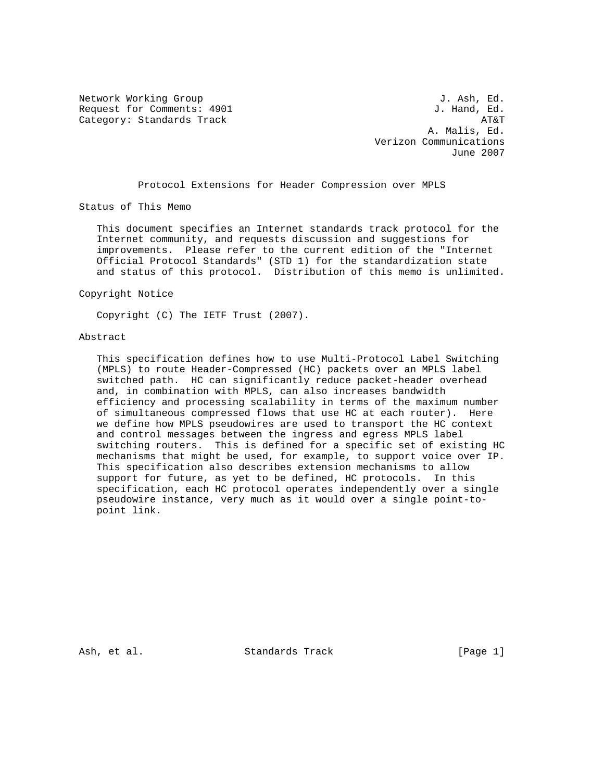Network Working Group and the set of the set of the set of the set of the set of the set of the set of the set of the set of the set of the set of the set of the set of the set of the set of the set of the set of the set o Request for Comments: 4901 Category: Standards Track AT&T

 A. Malis, Ed. Verizon Communications June 2007

Protocol Extensions for Header Compression over MPLS

Status of This Memo

 This document specifies an Internet standards track protocol for the Internet community, and requests discussion and suggestions for improvements. Please refer to the current edition of the "Internet Official Protocol Standards" (STD 1) for the standardization state and status of this protocol. Distribution of this memo is unlimited.

Copyright Notice

Copyright (C) The IETF Trust (2007).

# Abstract

 This specification defines how to use Multi-Protocol Label Switching (MPLS) to route Header-Compressed (HC) packets over an MPLS label switched path. HC can significantly reduce packet-header overhead and, in combination with MPLS, can also increases bandwidth efficiency and processing scalability in terms of the maximum number of simultaneous compressed flows that use HC at each router). Here we define how MPLS pseudowires are used to transport the HC context and control messages between the ingress and egress MPLS label switching routers. This is defined for a specific set of existing HC mechanisms that might be used, for example, to support voice over IP. This specification also describes extension mechanisms to allow support for future, as yet to be defined, HC protocols. In this specification, each HC protocol operates independently over a single pseudowire instance, very much as it would over a single point-to point link.

Ash, et al. Standards Track [Page 1]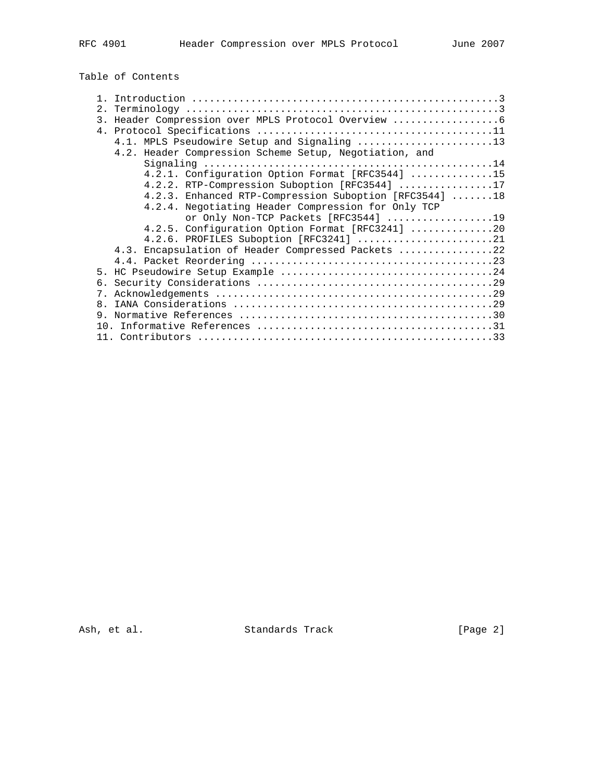Table of Contents

| 3.             |                                                        |
|----------------|--------------------------------------------------------|
|                |                                                        |
|                | 4.1. MPLS Pseudowire Setup and Signaling 13            |
|                | 4.2. Header Compression Scheme Setup, Negotiation, and |
|                |                                                        |
|                | 4.2.1. Configuration Option Format [RFC3544] 15        |
|                | 4.2.2. RTP-Compression Suboption [RFC3544] 17          |
|                | 4.2.3. Enhanced RTP-Compression Suboption [RFC3544] 18 |
|                | 4.2.4. Negotiating Header Compression for Only TCP     |
|                | or Only Non-TCP Packets [RFC3544] 19                   |
|                | 4.2.5. Configuration Option Format $[RFC3241]$ 20      |
|                | 4.2.6. PROFILES Suboption [RFC3241] 21                 |
|                | 4.3. Encapsulation of Header Compressed Packets 22     |
|                |                                                        |
|                |                                                        |
|                |                                                        |
| $7_{\circ}$    |                                                        |
| 8 <sub>1</sub> |                                                        |
| 9              |                                                        |
|                |                                                        |
|                |                                                        |

Ash, et al. Standards Track [Page 2]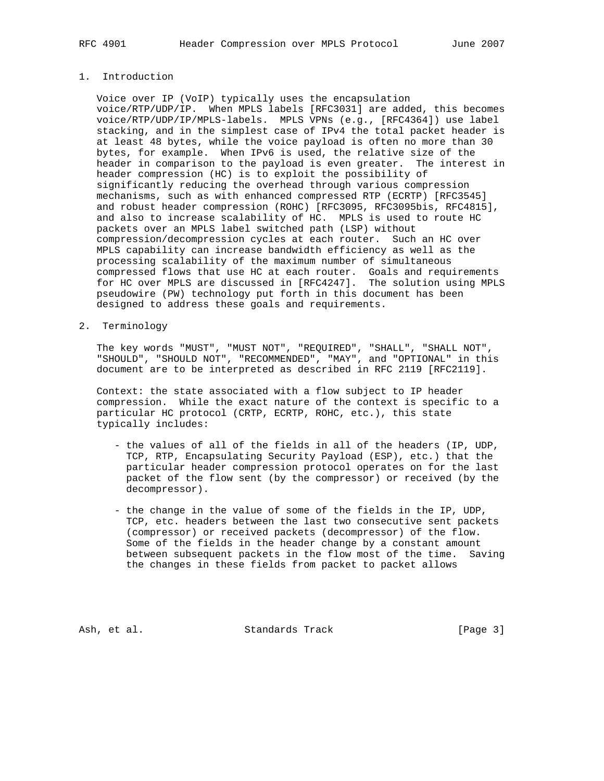# 1. Introduction

 Voice over IP (VoIP) typically uses the encapsulation voice/RTP/UDP/IP. When MPLS labels [RFC3031] are added, this becomes voice/RTP/UDP/IP/MPLS-labels. MPLS VPNs (e.g., [RFC4364]) use label stacking, and in the simplest case of IPv4 the total packet header is at least 48 bytes, while the voice payload is often no more than 30 bytes, for example. When IPv6 is used, the relative size of the header in comparison to the payload is even greater. The interest in header compression (HC) is to exploit the possibility of significantly reducing the overhead through various compression mechanisms, such as with enhanced compressed RTP (ECRTP) [RFC3545] and robust header compression (ROHC) [RFC3095, RFC3095bis, RFC4815], and also to increase scalability of HC. MPLS is used to route HC packets over an MPLS label switched path (LSP) without compression/decompression cycles at each router. Such an HC over MPLS capability can increase bandwidth efficiency as well as the processing scalability of the maximum number of simultaneous compressed flows that use HC at each router. Goals and requirements for HC over MPLS are discussed in [RFC4247]. The solution using MPLS pseudowire (PW) technology put forth in this document has been designed to address these goals and requirements.

2. Terminology

 The key words "MUST", "MUST NOT", "REQUIRED", "SHALL", "SHALL NOT", "SHOULD", "SHOULD NOT", "RECOMMENDED", "MAY", and "OPTIONAL" in this document are to be interpreted as described in RFC 2119 [RFC2119].

 Context: the state associated with a flow subject to IP header compression. While the exact nature of the context is specific to a particular HC protocol (CRTP, ECRTP, ROHC, etc.), this state typically includes:

- the values of all of the fields in all of the headers (IP, UDP, TCP, RTP, Encapsulating Security Payload (ESP), etc.) that the particular header compression protocol operates on for the last packet of the flow sent (by the compressor) or received (by the decompressor).
- the change in the value of some of the fields in the IP, UDP, TCP, etc. headers between the last two consecutive sent packets (compressor) or received packets (decompressor) of the flow. Some of the fields in the header change by a constant amount between subsequent packets in the flow most of the time. Saving the changes in these fields from packet to packet allows

Ash, et al. Standards Track [Page 3]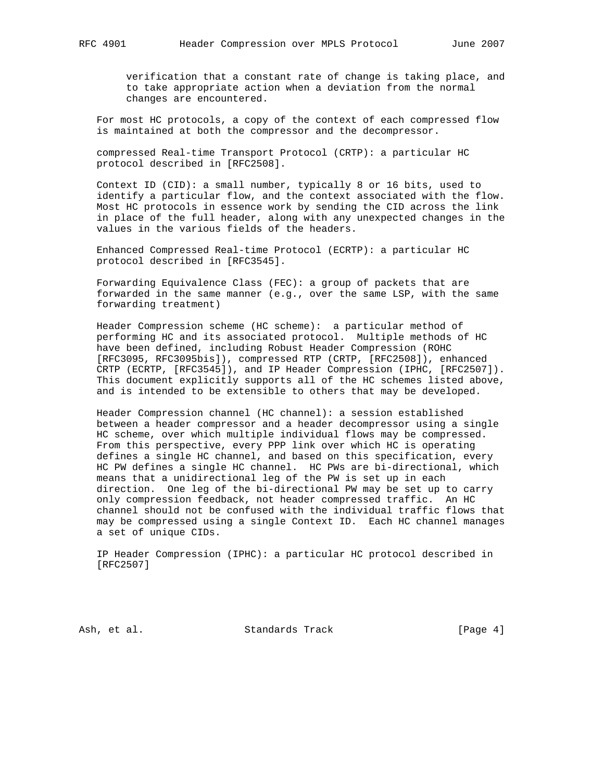verification that a constant rate of change is taking place, and to take appropriate action when a deviation from the normal changes are encountered.

 For most HC protocols, a copy of the context of each compressed flow is maintained at both the compressor and the decompressor.

 compressed Real-time Transport Protocol (CRTP): a particular HC protocol described in [RFC2508].

 Context ID (CID): a small number, typically 8 or 16 bits, used to identify a particular flow, and the context associated with the flow. Most HC protocols in essence work by sending the CID across the link in place of the full header, along with any unexpected changes in the values in the various fields of the headers.

 Enhanced Compressed Real-time Protocol (ECRTP): a particular HC protocol described in [RFC3545].

 Forwarding Equivalence Class (FEC): a group of packets that are forwarded in the same manner (e.g., over the same LSP, with the same forwarding treatment)

 Header Compression scheme (HC scheme): a particular method of performing HC and its associated protocol. Multiple methods of HC have been defined, including Robust Header Compression (ROHC [RFC3095, RFC3095bis]), compressed RTP (CRTP, [RFC2508]), enhanced CRTP (ECRTP, [RFC3545]), and IP Header Compression (IPHC, [RFC2507]). This document explicitly supports all of the HC schemes listed above, and is intended to be extensible to others that may be developed.

 Header Compression channel (HC channel): a session established between a header compressor and a header decompressor using a single HC scheme, over which multiple individual flows may be compressed. From this perspective, every PPP link over which HC is operating defines a single HC channel, and based on this specification, every HC PW defines a single HC channel. HC PWs are bi-directional, which means that a unidirectional leg of the PW is set up in each direction. One leg of the bi-directional PW may be set up to carry only compression feedback, not header compressed traffic. An HC channel should not be confused with the individual traffic flows that may be compressed using a single Context ID. Each HC channel manages a set of unique CIDs.

 IP Header Compression (IPHC): a particular HC protocol described in [RFC2507]

Ash, et al. Standards Track [Page 4]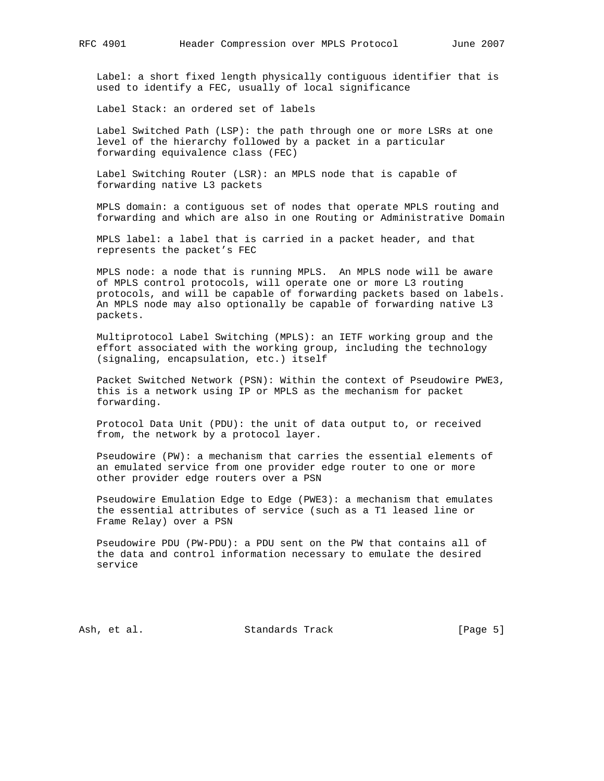Label: a short fixed length physically contiguous identifier that is used to identify a FEC, usually of local significance

Label Stack: an ordered set of labels

 Label Switched Path (LSP): the path through one or more LSRs at one level of the hierarchy followed by a packet in a particular forwarding equivalence class (FEC)

 Label Switching Router (LSR): an MPLS node that is capable of forwarding native L3 packets

 MPLS domain: a contiguous set of nodes that operate MPLS routing and forwarding and which are also in one Routing or Administrative Domain

 MPLS label: a label that is carried in a packet header, and that represents the packet's FEC

 MPLS node: a node that is running MPLS. An MPLS node will be aware of MPLS control protocols, will operate one or more L3 routing protocols, and will be capable of forwarding packets based on labels. An MPLS node may also optionally be capable of forwarding native L3 packets.

 Multiprotocol Label Switching (MPLS): an IETF working group and the effort associated with the working group, including the technology (signaling, encapsulation, etc.) itself

 Packet Switched Network (PSN): Within the context of Pseudowire PWE3, this is a network using IP or MPLS as the mechanism for packet forwarding.

 Protocol Data Unit (PDU): the unit of data output to, or received from, the network by a protocol layer.

 Pseudowire (PW): a mechanism that carries the essential elements of an emulated service from one provider edge router to one or more other provider edge routers over a PSN

 Pseudowire Emulation Edge to Edge (PWE3): a mechanism that emulates the essential attributes of service (such as a T1 leased line or Frame Relay) over a PSN

 Pseudowire PDU (PW-PDU): a PDU sent on the PW that contains all of the data and control information necessary to emulate the desired service

Ash, et al. Standards Track [Page 5]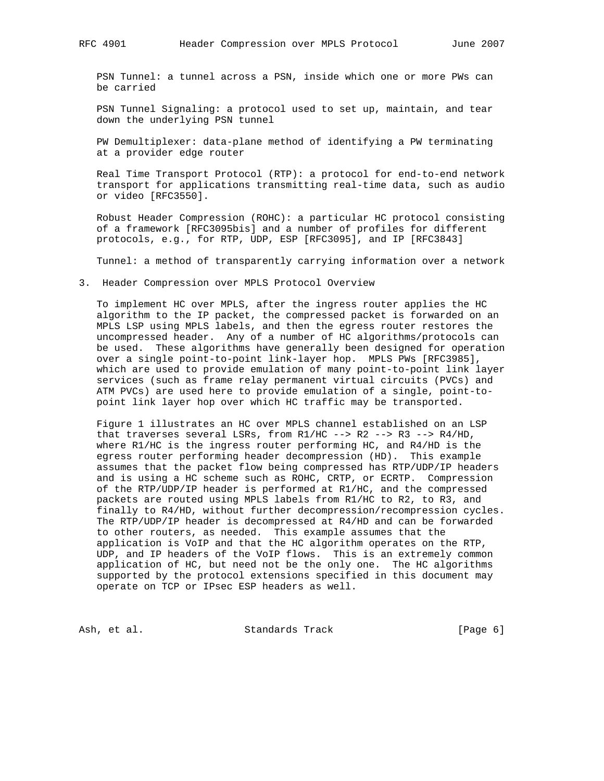PSN Tunnel: a tunnel across a PSN, inside which one or more PWs can be carried

 PSN Tunnel Signaling: a protocol used to set up, maintain, and tear down the underlying PSN tunnel

 PW Demultiplexer: data-plane method of identifying a PW terminating at a provider edge router

 Real Time Transport Protocol (RTP): a protocol for end-to-end network transport for applications transmitting real-time data, such as audio or video [RFC3550].

 Robust Header Compression (ROHC): a particular HC protocol consisting of a framework [RFC3095bis] and a number of profiles for different protocols, e.g., for RTP, UDP, ESP [RFC3095], and IP [RFC3843]

Tunnel: a method of transparently carrying information over a network

3. Header Compression over MPLS Protocol Overview

 To implement HC over MPLS, after the ingress router applies the HC algorithm to the IP packet, the compressed packet is forwarded on an MPLS LSP using MPLS labels, and then the egress router restores the uncompressed header. Any of a number of HC algorithms/protocols can be used. These algorithms have generally been designed for operation over a single point-to-point link-layer hop. MPLS PWs [RFC3985], which are used to provide emulation of many point-to-point link layer services (such as frame relay permanent virtual circuits (PVCs) and ATM PVCs) are used here to provide emulation of a single, point-to point link layer hop over which HC traffic may be transported.

 Figure 1 illustrates an HC over MPLS channel established on an LSP that traverses several LSRs, from  $R1/HC$  -->  $R2$  -->  $R3$  -->  $R4/HD$ , where R1/HC is the ingress router performing HC, and R4/HD is the egress router performing header decompression (HD). This example assumes that the packet flow being compressed has RTP/UDP/IP headers and is using a HC scheme such as ROHC, CRTP, or ECRTP. Compression of the RTP/UDP/IP header is performed at R1/HC, and the compressed packets are routed using MPLS labels from R1/HC to R2, to R3, and finally to R4/HD, without further decompression/recompression cycles. The RTP/UDP/IP header is decompressed at R4/HD and can be forwarded to other routers, as needed. This example assumes that the application is VoIP and that the HC algorithm operates on the RTP, UDP, and IP headers of the VoIP flows. This is an extremely common application of HC, but need not be the only one. The HC algorithms supported by the protocol extensions specified in this document may operate on TCP or IPsec ESP headers as well.

Ash, et al. Standards Track [Page 6]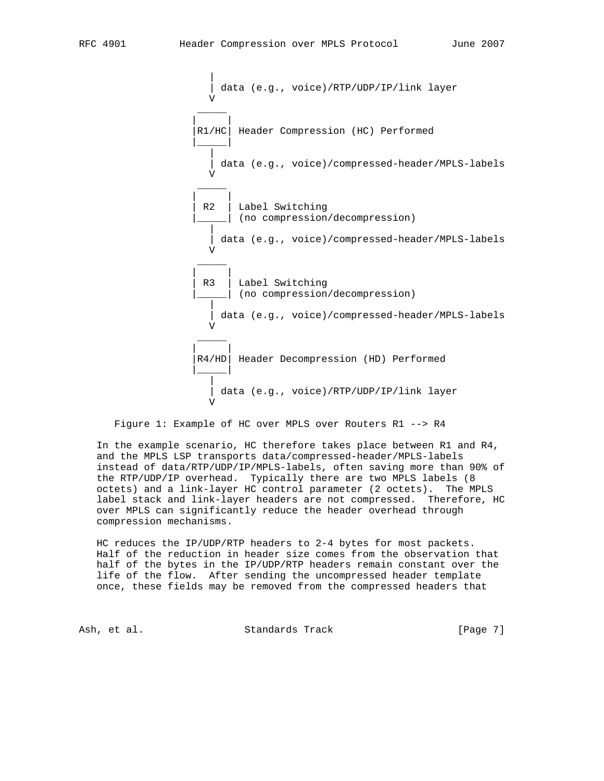| data (e.g., voice)/RTP/UDP/IP/link layer V \_\_\_\_\_ | | |R1/HC| Header Compression (HC) Performed |\_\_\_\_\_| | data (e.g., voice)/compressed-header/MPLS-labels V \_\_\_\_\_ | | R2 | Label Switching (no compression/decompression) | data (e.g., voice)/compressed-header/MPLS-labels V \_\_\_\_\_ | | R3 | Label Switching |\_\_\_\_\_| (no compression/decompression) | | data (e.g., voice)/compressed-header/MPLS-labels V \_\_\_\_\_ | | R4/HD | Header Decompression (HD) Performed |\_\_\_\_\_| | data (e.g., voice)/RTP/UDP/IP/link layer V

Figure 1: Example of HC over MPLS over Routers R1 --> R4

 In the example scenario, HC therefore takes place between R1 and R4, and the MPLS LSP transports data/compressed-header/MPLS-labels instead of data/RTP/UDP/IP/MPLS-labels, often saving more than 90% of the RTP/UDP/IP overhead. Typically there are two MPLS labels (8 octets) and a link-layer HC control parameter (2 octets). The MPLS label stack and link-layer headers are not compressed. Therefore, HC over MPLS can significantly reduce the header overhead through compression mechanisms.

 HC reduces the IP/UDP/RTP headers to 2-4 bytes for most packets. Half of the reduction in header size comes from the observation that half of the bytes in the IP/UDP/RTP headers remain constant over the life of the flow. After sending the uncompressed header template once, these fields may be removed from the compressed headers that

Ash, et al. Standards Track [Page 7]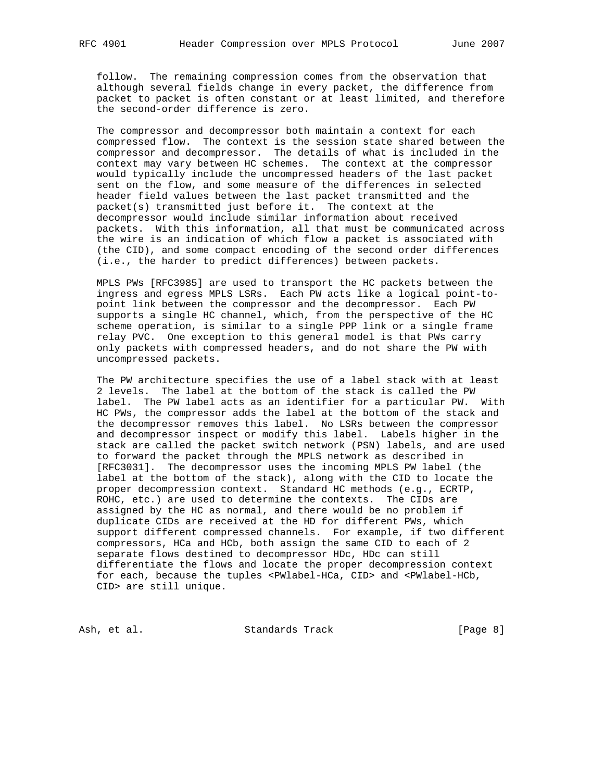follow. The remaining compression comes from the observation that although several fields change in every packet, the difference from packet to packet is often constant or at least limited, and therefore the second-order difference is zero.

 The compressor and decompressor both maintain a context for each compressed flow. The context is the session state shared between the compressor and decompressor. The details of what is included in the context may vary between HC schemes. The context at the compressor would typically include the uncompressed headers of the last packet sent on the flow, and some measure of the differences in selected header field values between the last packet transmitted and the packet(s) transmitted just before it. The context at the decompressor would include similar information about received packets. With this information, all that must be communicated across the wire is an indication of which flow a packet is associated with (the CID), and some compact encoding of the second order differences (i.e., the harder to predict differences) between packets.

 MPLS PWs [RFC3985] are used to transport the HC packets between the ingress and egress MPLS LSRs. Each PW acts like a logical point-to point link between the compressor and the decompressor. Each PW supports a single HC channel, which, from the perspective of the HC scheme operation, is similar to a single PPP link or a single frame relay PVC. One exception to this general model is that PWs carry only packets with compressed headers, and do not share the PW with uncompressed packets.

 The PW architecture specifies the use of a label stack with at least 2 levels. The label at the bottom of the stack is called the PW label. The PW label acts as an identifier for a particular PW. With HC PWs, the compressor adds the label at the bottom of the stack and the decompressor removes this label. No LSRs between the compressor and decompressor inspect or modify this label. Labels higher in the stack are called the packet switch network (PSN) labels, and are used to forward the packet through the MPLS network as described in [RFC3031]. The decompressor uses the incoming MPLS PW label (the label at the bottom of the stack), along with the CID to locate the proper decompression context. Standard HC methods (e.g., ECRTP, ROHC, etc.) are used to determine the contexts. The CIDs are assigned by the HC as normal, and there would be no problem if duplicate CIDs are received at the HD for different PWs, which support different compressed channels. For example, if two different compressors, HCa and HCb, both assign the same CID to each of 2 separate flows destined to decompressor HDc, HDc can still differentiate the flows and locate the proper decompression context for each, because the tuples <PWlabel-HCa, CID> and <PWlabel-HCb, CID> are still unique.

Ash, et al. Standards Track [Page 8]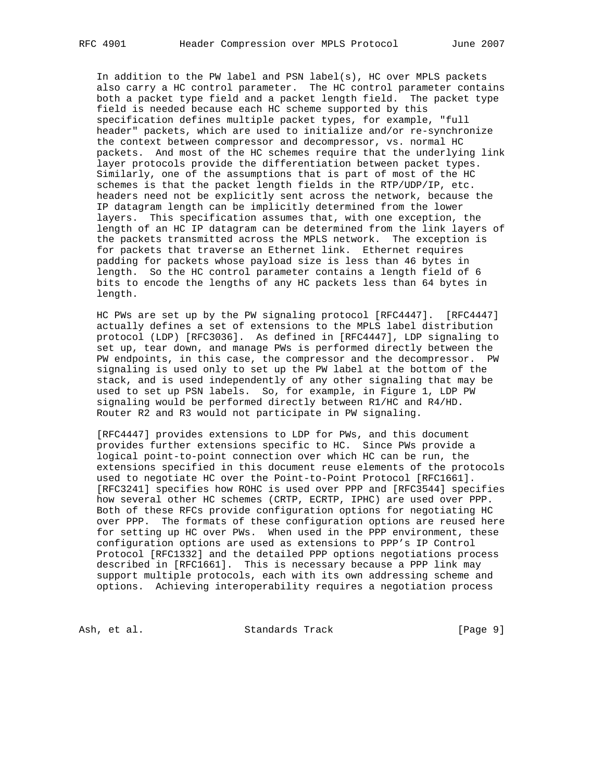In addition to the PW label and PSN label(s), HC over MPLS packets also carry a HC control parameter. The HC control parameter contains both a packet type field and a packet length field. The packet type field is needed because each HC scheme supported by this specification defines multiple packet types, for example, "full header" packets, which are used to initialize and/or re-synchronize the context between compressor and decompressor, vs. normal HC packets. And most of the HC schemes require that the underlying link layer protocols provide the differentiation between packet types. Similarly, one of the assumptions that is part of most of the HC schemes is that the packet length fields in the RTP/UDP/IP, etc. headers need not be explicitly sent across the network, because the IP datagram length can be implicitly determined from the lower layers. This specification assumes that, with one exception, the length of an HC IP datagram can be determined from the link layers of the packets transmitted across the MPLS network. The exception is for packets that traverse an Ethernet link. Ethernet requires padding for packets whose payload size is less than 46 bytes in length. So the HC control parameter contains a length field of 6 bits to encode the lengths of any HC packets less than 64 bytes in length.

 HC PWs are set up by the PW signaling protocol [RFC4447]. [RFC4447] actually defines a set of extensions to the MPLS label distribution protocol (LDP) [RFC3036]. As defined in [RFC4447], LDP signaling to set up, tear down, and manage PWs is performed directly between the PW endpoints, in this case, the compressor and the decompressor. PW signaling is used only to set up the PW label at the bottom of the stack, and is used independently of any other signaling that may be used to set up PSN labels. So, for example, in Figure 1, LDP PW signaling would be performed directly between R1/HC and R4/HD. Router R2 and R3 would not participate in PW signaling.

 [RFC4447] provides extensions to LDP for PWs, and this document provides further extensions specific to HC. Since PWs provide a logical point-to-point connection over which HC can be run, the extensions specified in this document reuse elements of the protocols used to negotiate HC over the Point-to-Point Protocol [RFC1661]. [RFC3241] specifies how ROHC is used over PPP and [RFC3544] specifies how several other HC schemes (CRTP, ECRTP, IPHC) are used over PPP. Both of these RFCs provide configuration options for negotiating HC over PPP. The formats of these configuration options are reused here for setting up HC over PWs. When used in the PPP environment, these configuration options are used as extensions to PPP's IP Control Protocol [RFC1332] and the detailed PPP options negotiations process described in [RFC1661]. This is necessary because a PPP link may support multiple protocols, each with its own addressing scheme and options. Achieving interoperability requires a negotiation process

Ash, et al. Standards Track [Page 9]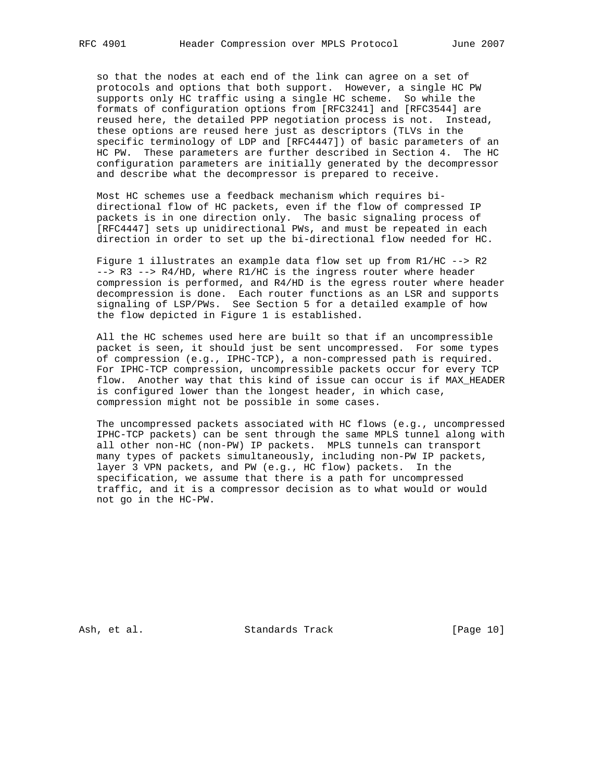so that the nodes at each end of the link can agree on a set of protocols and options that both support. However, a single HC PW supports only HC traffic using a single HC scheme. So while the formats of configuration options from [RFC3241] and [RFC3544] are reused here, the detailed PPP negotiation process is not. Instead, these options are reused here just as descriptors (TLVs in the specific terminology of LDP and [RFC4447]) of basic parameters of an HC PW. These parameters are further described in Section 4. The HC configuration parameters are initially generated by the decompressor and describe what the decompressor is prepared to receive.

 Most HC schemes use a feedback mechanism which requires bi directional flow of HC packets, even if the flow of compressed IP packets is in one direction only. The basic signaling process of [RFC4447] sets up unidirectional PWs, and must be repeated in each direction in order to set up the bi-directional flow needed for HC.

 Figure 1 illustrates an example data flow set up from R1/HC --> R2 --> R3 --> R4/HD, where R1/HC is the ingress router where header compression is performed, and R4/HD is the egress router where header decompression is done. Each router functions as an LSR and supports signaling of LSP/PWs. See Section 5 for a detailed example of how the flow depicted in Figure 1 is established.

 All the HC schemes used here are built so that if an uncompressible packet is seen, it should just be sent uncompressed. For some types of compression (e.g., IPHC-TCP), a non-compressed path is required. For IPHC-TCP compression, uncompressible packets occur for every TCP flow. Another way that this kind of issue can occur is if MAX\_HEADER is configured lower than the longest header, in which case, compression might not be possible in some cases.

 The uncompressed packets associated with HC flows (e.g., uncompressed IPHC-TCP packets) can be sent through the same MPLS tunnel along with all other non-HC (non-PW) IP packets. MPLS tunnels can transport many types of packets simultaneously, including non-PW IP packets, layer 3 VPN packets, and PW (e.g., HC flow) packets. In the specification, we assume that there is a path for uncompressed traffic, and it is a compressor decision as to what would or would not go in the HC-PW.

Ash, et al. Standards Track [Page 10]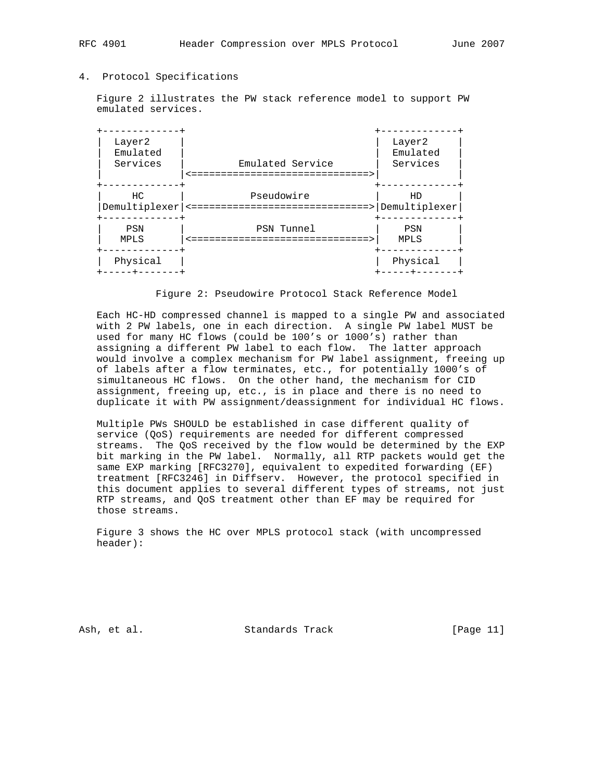# 4. Protocol Specifications

 Figure 2 illustrates the PW stack reference model to support PW emulated services.

| Layer2<br>Emulated<br>Services | Emulated Service<br>====================                 | Layer2<br>Emulated<br>Services |
|--------------------------------|----------------------------------------------------------|--------------------------------|
| HC.<br>Demultiplexer           | Pseudowire<br>===========================><br>$\leq$ $=$ | HD<br>Demultiplexer            |
| PSN<br>MPLS                    | PSN Tunnel<br>========================                   | PSN<br>MPLS                    |
| Physical                       |                                                          | Physical                       |

### Figure 2: Pseudowire Protocol Stack Reference Model

 Each HC-HD compressed channel is mapped to a single PW and associated with 2 PW labels, one in each direction. A single PW label MUST be used for many HC flows (could be 100's or 1000's) rather than assigning a different PW label to each flow. The latter approach would involve a complex mechanism for PW label assignment, freeing up of labels after a flow terminates, etc., for potentially 1000's of simultaneous HC flows. On the other hand, the mechanism for CID assignment, freeing up, etc., is in place and there is no need to duplicate it with PW assignment/deassignment for individual HC flows.

 Multiple PWs SHOULD be established in case different quality of service (QoS) requirements are needed for different compressed streams. The QoS received by the flow would be determined by the EXP bit marking in the PW label. Normally, all RTP packets would get the same EXP marking [RFC3270], equivalent to expedited forwarding (EF) treatment [RFC3246] in Diffserv. However, the protocol specified in this document applies to several different types of streams, not just RTP streams, and QoS treatment other than EF may be required for those streams.

 Figure 3 shows the HC over MPLS protocol stack (with uncompressed header):

Ash, et al. Standards Track [Page 11]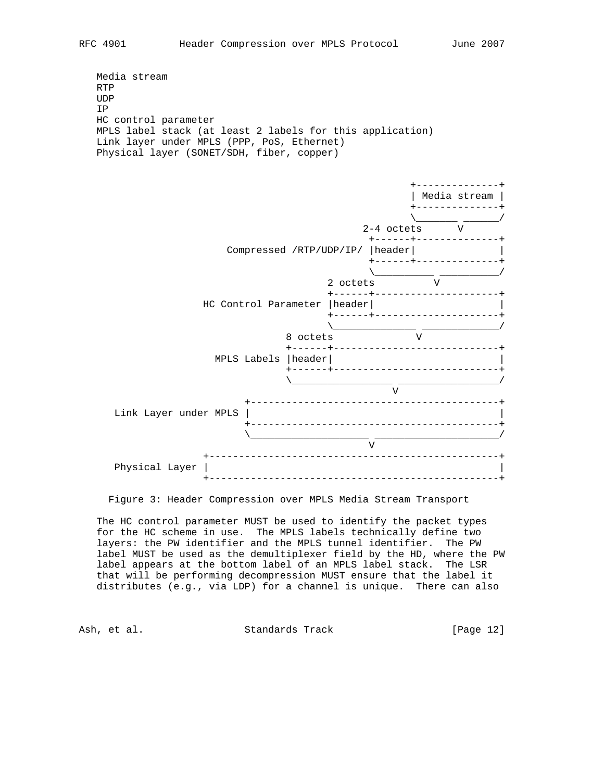```
 Media stream
RTP
UDP
IP
HC control parameter
MPLS label stack (at least 2 labels for this application)
Link layer under MPLS (PPP, PoS, Ethernet)
Physical layer (SONET/SDH, fiber, copper)
```


Figure 3: Header Compression over MPLS Media Stream Transport

 The HC control parameter MUST be used to identify the packet types for the HC scheme in use. The MPLS labels technically define two layers: the PW identifier and the MPLS tunnel identifier. The PW label MUST be used as the demultiplexer field by the HD, where the PW label appears at the bottom label of an MPLS label stack. The LSR that will be performing decompression MUST ensure that the label it distributes (e.g., via LDP) for a channel is unique. There can also

Ash, et al. Standards Track [Page 12]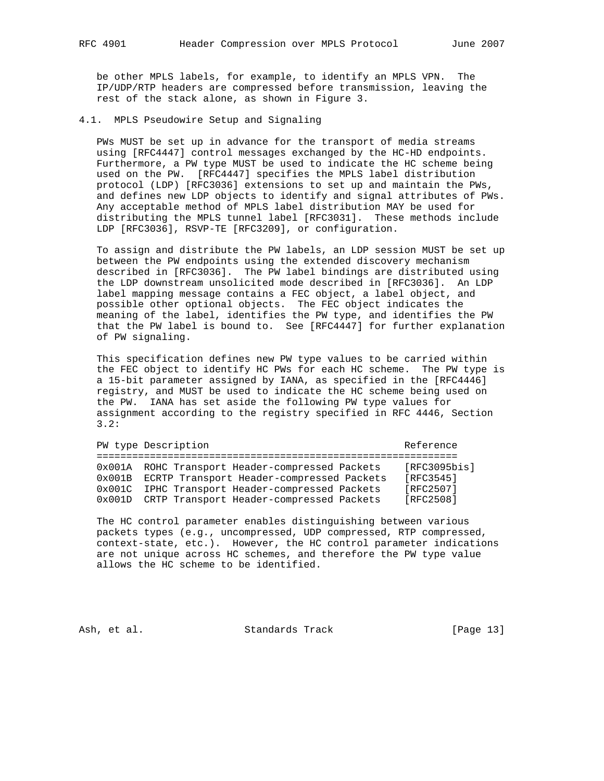be other MPLS labels, for example, to identify an MPLS VPN. The IP/UDP/RTP headers are compressed before transmission, leaving the rest of the stack alone, as shown in Figure 3.

4.1. MPLS Pseudowire Setup and Signaling

 PWs MUST be set up in advance for the transport of media streams using [RFC4447] control messages exchanged by the HC-HD endpoints. Furthermore, a PW type MUST be used to indicate the HC scheme being used on the PW. [RFC4447] specifies the MPLS label distribution protocol (LDP) [RFC3036] extensions to set up and maintain the PWs, and defines new LDP objects to identify and signal attributes of PWs. Any acceptable method of MPLS label distribution MAY be used for distributing the MPLS tunnel label [RFC3031]. These methods include LDP [RFC3036], RSVP-TE [RFC3209], or configuration.

 To assign and distribute the PW labels, an LDP session MUST be set up between the PW endpoints using the extended discovery mechanism described in [RFC3036]. The PW label bindings are distributed using the LDP downstream unsolicited mode described in [RFC3036]. An LDP label mapping message contains a FEC object, a label object, and possible other optional objects. The FEC object indicates the meaning of the label, identifies the PW type, and identifies the PW that the PW label is bound to. See [RFC4447] for further explanation of PW signaling.

 This specification defines new PW type values to be carried within the FEC object to identify HC PWs for each HC scheme. The PW type is a 15-bit parameter assigned by IANA, as specified in the [RFC4446] registry, and MUST be used to indicate the HC scheme being used on the PW. IANA has set aside the following PW type values for assignment according to the registry specified in RFC 4446, Section 3.2:

|                 | PW type Description                              | Reference    |
|-----------------|--------------------------------------------------|--------------|
|                 |                                                  |              |
|                 | 0x001A ROHC Transport Header-compressed Packets  | [RFC3095bis] |
|                 | 0x001B ECRTP Transport Header-compressed Packets | [RFC3545]    |
|                 | 0x001C IPHC Transport Header-compressed Packets  | [RFC2507]    |
| $0 \times 001D$ | CRTP Transport Header-compressed Packets         | [RFC2508]    |

 The HC control parameter enables distinguishing between various packets types (e.g., uncompressed, UDP compressed, RTP compressed, context-state, etc.). However, the HC control parameter indications are not unique across HC schemes, and therefore the PW type value allows the HC scheme to be identified.

Ash, et al. Standards Track [Page 13]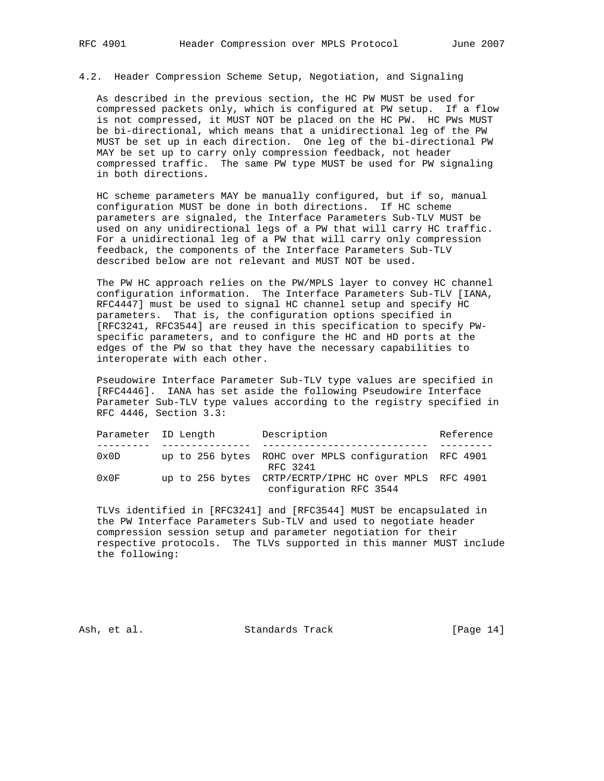4.2. Header Compression Scheme Setup, Negotiation, and Signaling

 As described in the previous section, the HC PW MUST be used for compressed packets only, which is configured at PW setup. If a flow is not compressed, it MUST NOT be placed on the HC PW. HC PWs MUST be bi-directional, which means that a unidirectional leg of the PW MUST be set up in each direction. One leg of the bi-directional PW MAY be set up to carry only compression feedback, not header compressed traffic. The same PW type MUST be used for PW signaling in both directions.

 HC scheme parameters MAY be manually configured, but if so, manual configuration MUST be done in both directions. If HC scheme parameters are signaled, the Interface Parameters Sub-TLV MUST be used on any unidirectional legs of a PW that will carry HC traffic. For a unidirectional leg of a PW that will carry only compression feedback, the components of the Interface Parameters Sub-TLV described below are not relevant and MUST NOT be used.

 The PW HC approach relies on the PW/MPLS layer to convey HC channel configuration information. The Interface Parameters Sub-TLV [IANA, RFC4447] must be used to signal HC channel setup and specify HC parameters. That is, the configuration options specified in [RFC3241, RFC3544] are reused in this specification to specify PW specific parameters, and to configure the HC and HD ports at the edges of the PW so that they have the necessary capabilities to interoperate with each other.

 Pseudowire Interface Parameter Sub-TLV type values are specified in [RFC4446]. IANA has set aside the following Pseudowire Interface Parameter Sub-TLV type values according to the registry specified in RFC 4446, Section 3.3:

|                | Parameter ID Length | Description                                                                     | Reference |  |  |
|----------------|---------------------|---------------------------------------------------------------------------------|-----------|--|--|
|                |                     |                                                                                 |           |  |  |
| $0 \times 0$ D |                     | up to 256 bytes ROHC over MPLS configuration RFC 4901<br>RFC 3241               |           |  |  |
| $0 \times 0$ F |                     | up to 256 bytes CRTP/ECRTP/IPHC HC over MPLS RFC 4901<br>configuration RFC 3544 |           |  |  |

 TLVs identified in [RFC3241] and [RFC3544] MUST be encapsulated in the PW Interface Parameters Sub-TLV and used to negotiate header compression session setup and parameter negotiation for their respective protocols. The TLVs supported in this manner MUST include the following:

Ash, et al. Standards Track [Page 14]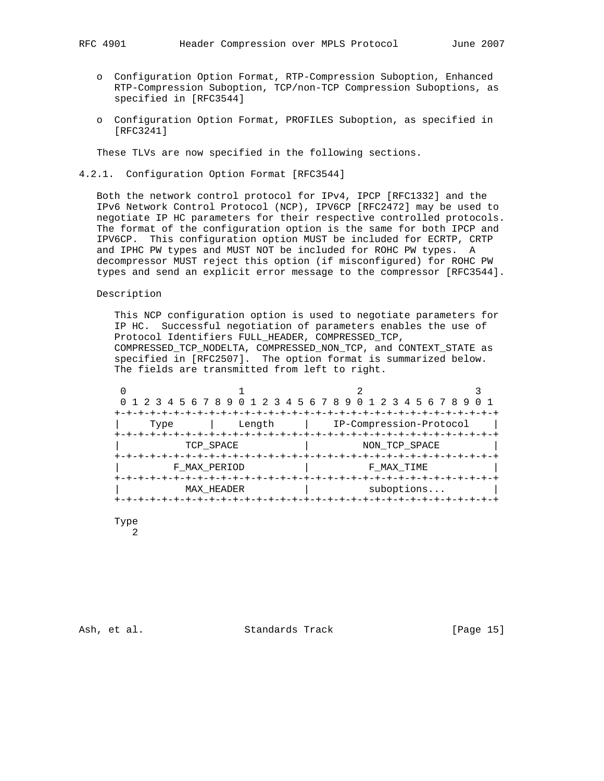- o Configuration Option Format, RTP-Compression Suboption, Enhanced RTP-Compression Suboption, TCP/non-TCP Compression Suboptions, as specified in [RFC3544]
- o Configuration Option Format, PROFILES Suboption, as specified in [RFC3241]

These TLVs are now specified in the following sections.

4.2.1. Configuration Option Format [RFC3544]

 Both the network control protocol for IPv4, IPCP [RFC1332] and the IPv6 Network Control Protocol (NCP), IPV6CP [RFC2472] may be used to negotiate IP HC parameters for their respective controlled protocols. The format of the configuration option is the same for both IPCP and IPV6CP. This configuration option MUST be included for ECRTP, CRTP and IPHC PW types and MUST NOT be included for ROHC PW types. A decompressor MUST reject this option (if misconfigured) for ROHC PW types and send an explicit error message to the compressor [RFC3544].

Description

 This NCP configuration option is used to negotiate parameters for IP HC. Successful negotiation of parameters enables the use of Protocol Identifiers FULL\_HEADER, COMPRESSED\_TCP, COMPRESSED\_TCP\_NODELTA, COMPRESSED\_NON\_TCP, and CONTEXT\_STATE as specified in [RFC2507]. The option format is summarized below. The fields are transmitted from left to right.

|      |              | 0 1 2 3 4 5 6 7 8 9 0 1 2 3 4 5 6 7 8 9 0 1 2 3 4 5 6 7 8 9 |  |
|------|--------------|-------------------------------------------------------------|--|
| Type | Length       | IP-Compression-Protocol                                     |  |
|      | TCP SPACE    | NON TCP SPACE                                               |  |
|      | F MAX PERIOD | F MAX TIME                                                  |  |
|      | MAX HEADER   | suboptions                                                  |  |
|      |              |                                                             |  |

Type

2

Ash, et al. Standards Track [Page 15]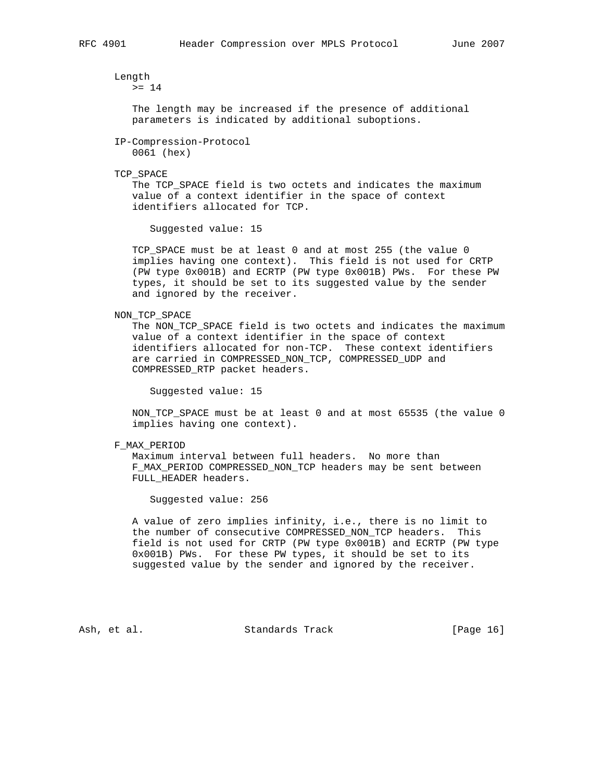Length >= 14

> The length may be increased if the presence of additional parameters is indicated by additional suboptions.

 IP-Compression-Protocol 0061 (hex)

TCP\_SPACE

 The TCP\_SPACE field is two octets and indicates the maximum value of a context identifier in the space of context identifiers allocated for TCP.

Suggested value: 15

 TCP\_SPACE must be at least 0 and at most 255 (the value 0 implies having one context). This field is not used for CRTP (PW type 0x001B) and ECRTP (PW type 0x001B) PWs. For these PW types, it should be set to its suggested value by the sender and ignored by the receiver.

NON\_TCP\_SPACE

 The NON\_TCP\_SPACE field is two octets and indicates the maximum value of a context identifier in the space of context identifiers allocated for non-TCP. These context identifiers are carried in COMPRESSED\_NON\_TCP, COMPRESSED\_UDP and COMPRESSED\_RTP packet headers.

Suggested value: 15

 NON\_TCP\_SPACE must be at least 0 and at most 65535 (the value 0 implies having one context).

F\_MAX\_PERIOD

 Maximum interval between full headers. No more than F\_MAX\_PERIOD COMPRESSED\_NON\_TCP headers may be sent between FULL\_HEADER headers.

Suggested value: 256

 A value of zero implies infinity, i.e., there is no limit to the number of consecutive COMPRESSED\_NON\_TCP headers. This field is not used for CRTP (PW type 0x001B) and ECRTP (PW type 0x001B) PWs. For these PW types, it should be set to its suggested value by the sender and ignored by the receiver.

Ash, et al. Standards Track [Page 16]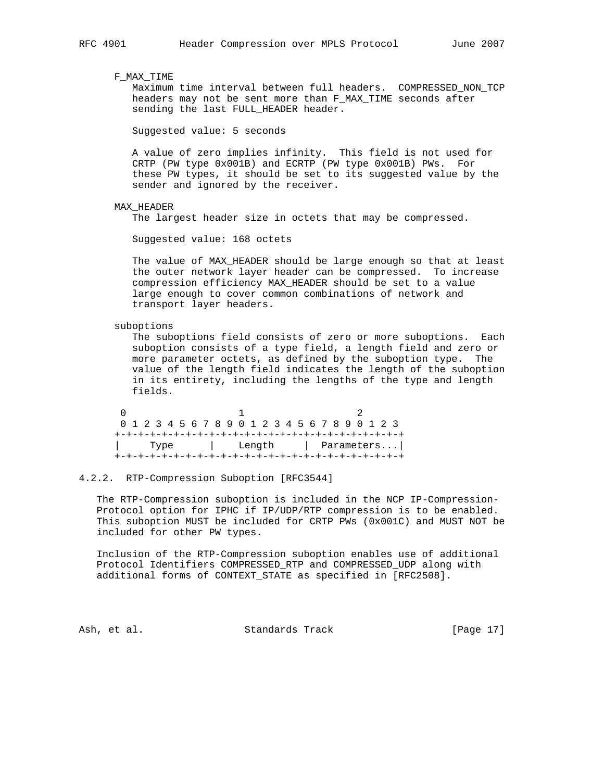F\_MAX\_TIME

 Maximum time interval between full headers. COMPRESSED\_NON\_TCP headers may not be sent more than F\_MAX\_TIME seconds after sending the last FULL HEADER header.

Suggested value: 5 seconds

 A value of zero implies infinity. This field is not used for CRTP (PW type 0x001B) and ECRTP (PW type 0x001B) PWs. For these PW types, it should be set to its suggested value by the sender and ignored by the receiver.

### MAX\_HEADER

The largest header size in octets that may be compressed.

Suggested value: 168 octets

 The value of MAX\_HEADER should be large enough so that at least the outer network layer header can be compressed. To increase compression efficiency MAX\_HEADER should be set to a value large enough to cover common combinations of network and transport layer headers.

suboptions

 The suboptions field consists of zero or more suboptions. Each suboption consists of a type field, a length field and zero or more parameter octets, as defined by the suboption type. The value of the length field indicates the length of the suboption in its entirety, including the lengths of the type and length fields.

 $0$  1 2 0 1 2 3 4 5 6 7 8 9 0 1 2 3 4 5 6 7 8 9 0 1 2 3 +-+-+-+-+-+-+-+-+-+-+-+-+-+-+-+-+-+-+-+-+-+-+-+-+ | Type | Length | Parameters...| +-+-+-+-+-+-+-+-+-+-+-+-+-+-+-+-+-+-+-+-+-+-+-+-+

### 4.2.2. RTP-Compression Suboption [RFC3544]

 The RTP-Compression suboption is included in the NCP IP-Compression- Protocol option for IPHC if IP/UDP/RTP compression is to be enabled. This suboption MUST be included for CRTP PWs (0x001C) and MUST NOT be included for other PW types.

 Inclusion of the RTP-Compression suboption enables use of additional Protocol Identifiers COMPRESSED\_RTP and COMPRESSED\_UDP along with additional forms of CONTEXT\_STATE as specified in [RFC2508].

Ash, et al. Standards Track [Page 17]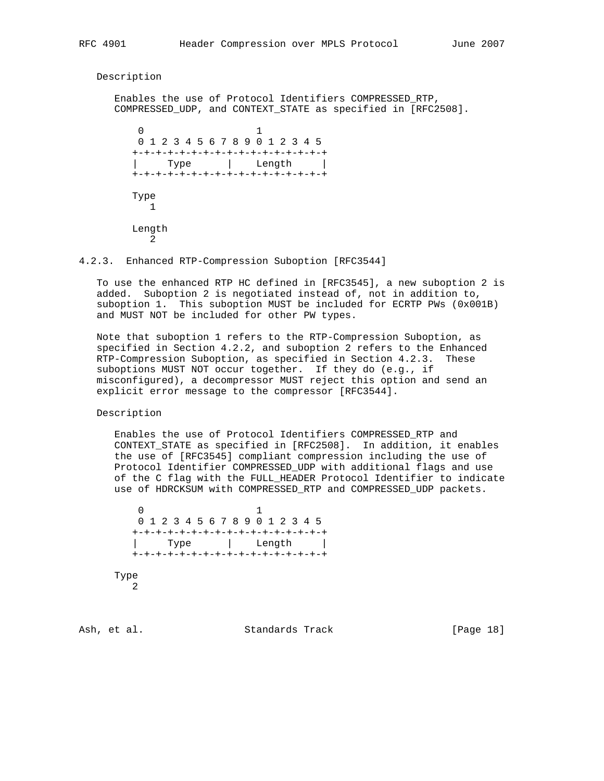Description

 Enables the use of Protocol Identifiers COMPRESSED\_RTP, COMPRESSED UDP, and CONTEXT STATE as specified in [RFC2508].  $\sim$  0  $\sim$  1 0 1 2 3 4 5 6 7 8 9 0 1 2 3 4 5 +-+-+-+-+-+-+-+-+-+-+-+-+-+-+-+-+ | Type | Length |

> Type  $\overline{1}$  Length  $\overline{2}$

4.2.3. Enhanced RTP-Compression Suboption [RFC3544]

+-+-+-+-+-+-+-+-+-+-+-+-+-+-+-+-+

 To use the enhanced RTP HC defined in [RFC3545], a new suboption 2 is added. Suboption 2 is negotiated instead of, not in addition to, suboption 1. This suboption MUST be included for ECRTP PWs (0x001B) and MUST NOT be included for other PW types.

 Note that suboption 1 refers to the RTP-Compression Suboption, as specified in Section 4.2.2, and suboption 2 refers to the Enhanced RTP-Compression Suboption, as specified in Section 4.2.3. These suboptions MUST NOT occur together. If they do (e.g., if misconfigured), a decompressor MUST reject this option and send an explicit error message to the compressor [RFC3544].

Description

 Enables the use of Protocol Identifiers COMPRESSED\_RTP and CONTEXT\_STATE as specified in [RFC2508]. In addition, it enables the use of [RFC3545] compliant compression including the use of Protocol Identifier COMPRESSED\_UDP with additional flags and use of the C flag with the FULL\_HEADER Protocol Identifier to indicate use of HDRCKSUM with COMPRESSED\_RTP and COMPRESSED\_UDP packets.

 0 1 0 1 2 3 4 5 6 7 8 9 0 1 2 3 4 5 +-+-+-+-+-+-+-+-+-+-+-+-+-+-+-+-+ | Type | Length | +-+-+-+-+-+-+-+-+-+-+-+-+-+-+-+-+ Type 2

Ash, et al. Standards Track [Page 18]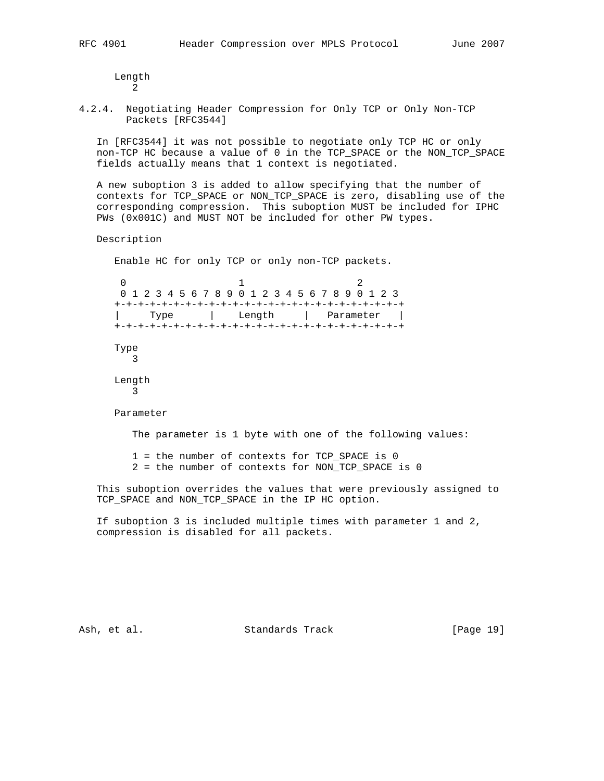Length 2

4.2.4. Negotiating Header Compression for Only TCP or Only Non-TCP Packets [RFC3544]

 In [RFC3544] it was not possible to negotiate only TCP HC or only non-TCP HC because a value of 0 in the TCP\_SPACE or the NON\_TCP\_SPACE fields actually means that 1 context is negotiated.

 A new suboption 3 is added to allow specifying that the number of contexts for TCP\_SPACE or NON\_TCP\_SPACE is zero, disabling use of the corresponding compression. This suboption MUST be included for IPHC PWs (0x001C) and MUST NOT be included for other PW types.

Description

Enable HC for only TCP or only non-TCP packets.

 $0$  1 2 0 1 2 3 4 5 6 7 8 9 0 1 2 3 4 5 6 7 8 9 0 1 2 3 +-+-+-+-+-+-+-+-+-+-+-+-+-+-+-+-+-+-+-+-+-+-+-+-+ | Type | Length | Parameter | +-+-+-+-+-+-+-+-+-+-+-+-+-+-+-+-+-+-+-+-+-+-+-+-+ Type 3 Length 3 Parameter

The parameter is 1 byte with one of the following values:

1 = the number of contexts for TCP\_SPACE is 0

2 = the number of contexts for NON\_TCP\_SPACE is 0

 This suboption overrides the values that were previously assigned to TCP\_SPACE and NON\_TCP\_SPACE in the IP HC option.

 If suboption 3 is included multiple times with parameter 1 and 2, compression is disabled for all packets.

Ash, et al. Standards Track [Page 19]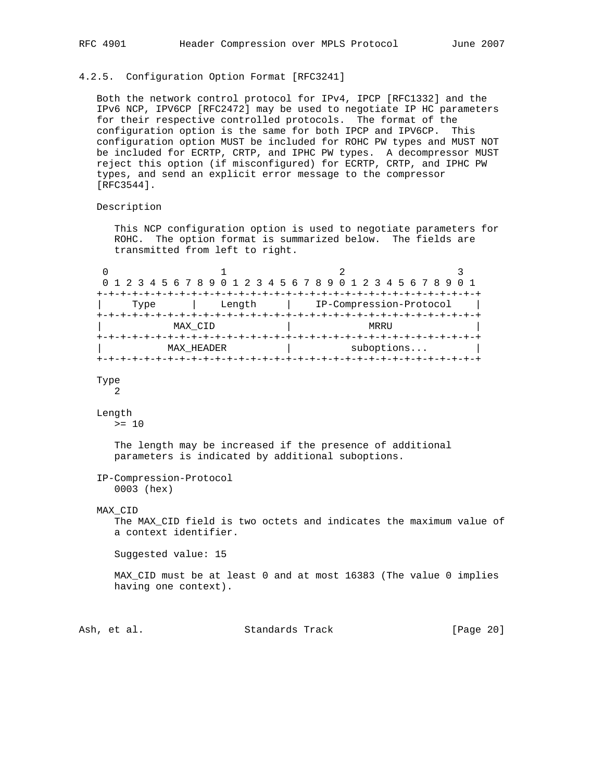# 4.2.5. Configuration Option Format [RFC3241]

 Both the network control protocol for IPv4, IPCP [RFC1332] and the IPv6 NCP, IPV6CP [RFC2472] may be used to negotiate IP HC parameters for their respective controlled protocols. The format of the configuration option is the same for both IPCP and IPV6CP. This configuration option MUST be included for ROHC PW types and MUST NOT be included for ECRTP, CRTP, and IPHC PW types. A decompressor MUST reject this option (if misconfigured) for ECRTP, CRTP, and IPHC PW types, and send an explicit error message to the compressor [RFC3544].

## Description

 This NCP configuration option is used to negotiate parameters for ROHC. The option format is summarized below. The fields are transmitted from left to right.

|      |                   | 0 1 2 3 4 5 6 7 8 9 0 1 2 3 4 5 6 7 8 9 0 1 2 3 4 5 6 7 8 9 0 1 |  |
|------|-------------------|-----------------------------------------------------------------|--|
|      |                   |                                                                 |  |
| Type | Length            | IP-Compression-Protocol                                         |  |
|      | MAX CID           | MRRIJ                                                           |  |
|      | <b>MAX HEADER</b> | suboptions                                                      |  |
|      |                   |                                                                 |  |

### Type 2

# Length

 $>= 10$ 

 The length may be increased if the presence of additional parameters is indicated by additional suboptions.

```
 IP-Compression-Protocol
   0003 (hex)
```
### MAX\_CID

 The MAX\_CID field is two octets and indicates the maximum value of a context identifier.

Suggested value: 15

 MAX\_CID must be at least 0 and at most 16383 (The value 0 implies having one context).

Ash, et al. Standards Track [Page 20]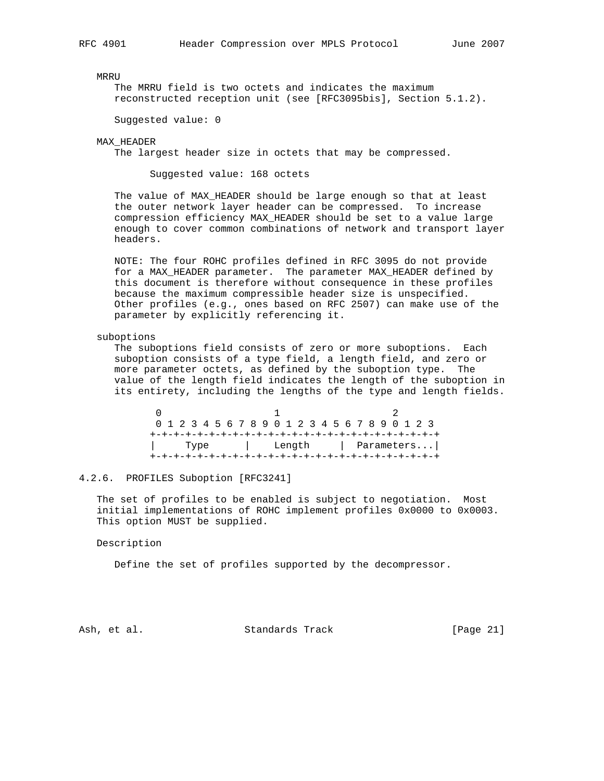MRRU

 The MRRU field is two octets and indicates the maximum reconstructed reception unit (see [RFC3095bis], Section 5.1.2).

Suggested value: 0

MAX\_HEADER

The largest header size in octets that may be compressed.

Suggested value: 168 octets

 The value of MAX\_HEADER should be large enough so that at least the outer network layer header can be compressed. To increase compression efficiency MAX\_HEADER should be set to a value large enough to cover common combinations of network and transport layer headers.

 NOTE: The four ROHC profiles defined in RFC 3095 do not provide for a MAX\_HEADER parameter. The parameter MAX\_HEADER defined by this document is therefore without consequence in these profiles because the maximum compressible header size is unspecified. Other profiles (e.g., ones based on RFC 2507) can make use of the parameter by explicitly referencing it.

### suboptions

 The suboptions field consists of zero or more suboptions. Each suboption consists of a type field, a length field, and zero or more parameter octets, as defined by the suboption type. The value of the length field indicates the length of the suboption in its entirety, including the lengths of the type and length fields.

 $0$  and  $1$  and  $2$  0 1 2 3 4 5 6 7 8 9 0 1 2 3 4 5 6 7 8 9 0 1 2 3 +-+-+-+-+-+-+-+-+-+-+-+-+-+-+-+-+-+-+-+-+-+-+-+-+ | Type | Length | Parameters...| +-+-+-+-+-+-+-+-+-+-+-+-+-+-+-+-+-+-+-+-+-+-+-+-+

### 4.2.6. PROFILES Suboption [RFC3241]

 The set of profiles to be enabled is subject to negotiation. Most initial implementations of ROHC implement profiles 0x0000 to 0x0003. This option MUST be supplied.

Description

Define the set of profiles supported by the decompressor.

Ash, et al. Standards Track [Page 21]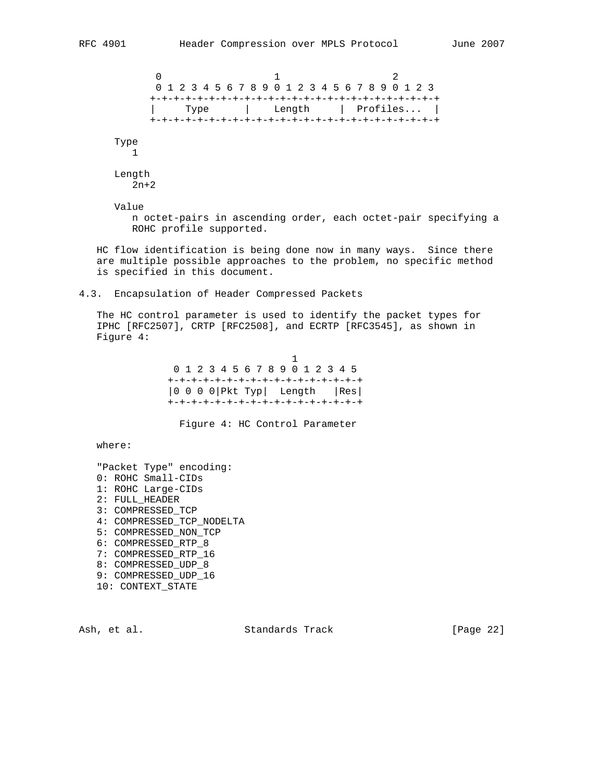$0$  and  $1$  and  $2$  0 1 2 3 4 5 6 7 8 9 0 1 2 3 4 5 6 7 8 9 0 1 2 3 +-+-+-+-+-+-+-+-+-+-+-+-+-+-+-+-+-+-+-+-+-+-+-+-+ | Type | Length | Profiles... | +-+-+-+-+-+-+-+-+-+-+-+-+-+-+-+-+-+-+-+-+-+-+-+-+ Type 1 Length 2n+2

 Value n octet-pairs in ascending order, each octet-pair specifying a ROHC profile supported.

 HC flow identification is being done now in many ways. Since there are multiple possible approaches to the problem, no specific method is specified in this document.

4.3. Encapsulation of Header Compressed Packets

 The HC control parameter is used to identify the packet types for IPHC [RFC2507], CRTP [RFC2508], and ECRTP [RFC3545], as shown in Figure 4:

 $1$  0 1 2 3 4 5 6 7 8 9 0 1 2 3 4 5 +-+-+-+-+-+-+-+-+-+-+-+-+-+-+-+-+ |0 0 0 0|Pkt Typ| Length |Res| +-+-+-+-+-+-+-+-+-+-+-+-+-+-+-+-+

Figure 4: HC Control Parameter

where:

 "Packet Type" encoding: 0: ROHC Small-CIDs 1: ROHC Large-CIDs 2: FULL\_HEADER 3: COMPRESSED\_TCP 4: COMPRESSED\_TCP\_NODELTA 5: COMPRESSED\_NON\_TCP 6: COMPRESSED\_RTP\_8 7: COMPRESSED\_RTP\_16 8: COMPRESSED\_UDP\_8 9: COMPRESSED\_UDP\_16 10: CONTEXT\_STATE

Ash, et al. Standards Track [Page 22]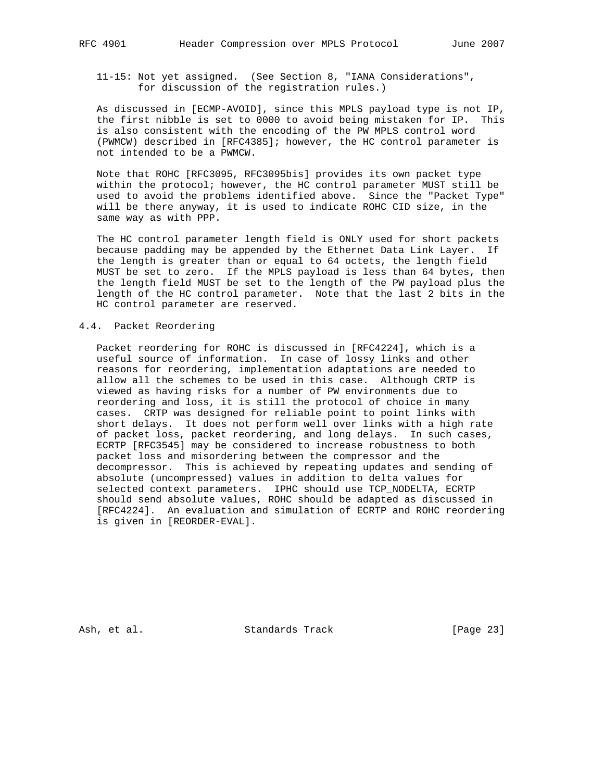11-15: Not yet assigned. (See Section 8, "IANA Considerations", for discussion of the registration rules.)

 As discussed in [ECMP-AVOID], since this MPLS payload type is not IP, the first nibble is set to 0000 to avoid being mistaken for IP. This is also consistent with the encoding of the PW MPLS control word (PWMCW) described in [RFC4385]; however, the HC control parameter is not intended to be a PWMCW.

 Note that ROHC [RFC3095, RFC3095bis] provides its own packet type within the protocol; however, the HC control parameter MUST still be used to avoid the problems identified above. Since the "Packet Type" will be there anyway, it is used to indicate ROHC CID size, in the same way as with PPP.

 The HC control parameter length field is ONLY used for short packets because padding may be appended by the Ethernet Data Link Layer. If the length is greater than or equal to 64 octets, the length field MUST be set to zero. If the MPLS payload is less than 64 bytes, then the length field MUST be set to the length of the PW payload plus the length of the HC control parameter. Note that the last 2 bits in the HC control parameter are reserved.

## 4.4. Packet Reordering

 Packet reordering for ROHC is discussed in [RFC4224], which is a useful source of information. In case of lossy links and other reasons for reordering, implementation adaptations are needed to allow all the schemes to be used in this case. Although CRTP is viewed as having risks for a number of PW environments due to reordering and loss, it is still the protocol of choice in many cases. CRTP was designed for reliable point to point links with short delays. It does not perform well over links with a high rate of packet loss, packet reordering, and long delays. In such cases, ECRTP [RFC3545] may be considered to increase robustness to both packet loss and misordering between the compressor and the decompressor. This is achieved by repeating updates and sending of absolute (uncompressed) values in addition to delta values for selected context parameters. IPHC should use TCP\_NODELTA, ECRTP should send absolute values, ROHC should be adapted as discussed in [RFC4224]. An evaluation and simulation of ECRTP and ROHC reordering is given in [REORDER-EVAL].

Ash, et al. Standards Track [Page 23]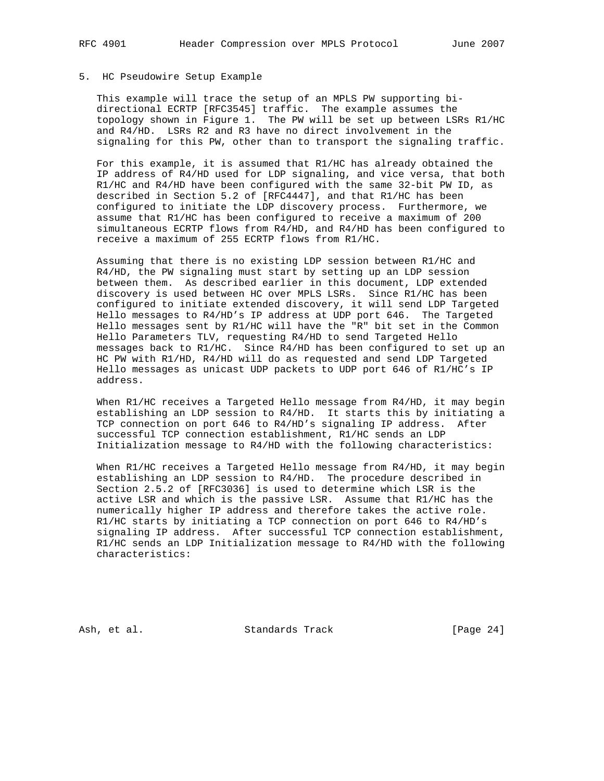# 5. HC Pseudowire Setup Example

 This example will trace the setup of an MPLS PW supporting bi directional ECRTP [RFC3545] traffic. The example assumes the topology shown in Figure 1. The PW will be set up between LSRs R1/HC and R4/HD. LSRs R2 and R3 have no direct involvement in the signaling for this PW, other than to transport the signaling traffic.

 For this example, it is assumed that R1/HC has already obtained the IP address of R4/HD used for LDP signaling, and vice versa, that both R1/HC and R4/HD have been configured with the same 32-bit PW ID, as described in Section 5.2 of [RFC4447], and that R1/HC has been configured to initiate the LDP discovery process. Furthermore, we assume that R1/HC has been configured to receive a maximum of 200 simultaneous ECRTP flows from R4/HD, and R4/HD has been configured to receive a maximum of 255 ECRTP flows from R1/HC.

 Assuming that there is no existing LDP session between R1/HC and R4/HD, the PW signaling must start by setting up an LDP session between them. As described earlier in this document, LDP extended discovery is used between HC over MPLS LSRs. Since R1/HC has been configured to initiate extended discovery, it will send LDP Targeted Hello messages to R4/HD's IP address at UDP port 646. The Targeted Hello messages sent by R1/HC will have the "R" bit set in the Common Hello Parameters TLV, requesting R4/HD to send Targeted Hello messages back to R1/HC. Since R4/HD has been configured to set up an HC PW with R1/HD, R4/HD will do as requested and send LDP Targeted Hello messages as unicast UDP packets to UDP port 646 of R1/HC's IP address.

When R1/HC receives a Targeted Hello message from R4/HD, it may begin establishing an LDP session to R4/HD. It starts this by initiating a TCP connection on port 646 to R4/HD's signaling IP address. After successful TCP connection establishment, R1/HC sends an LDP Initialization message to R4/HD with the following characteristics:

When R1/HC receives a Targeted Hello message from R4/HD, it may begin establishing an LDP session to R4/HD. The procedure described in Section 2.5.2 of [RFC3036] is used to determine which LSR is the active LSR and which is the passive LSR. Assume that R1/HC has the numerically higher IP address and therefore takes the active role. R1/HC starts by initiating a TCP connection on port 646 to R4/HD's signaling IP address. After successful TCP connection establishment, R1/HC sends an LDP Initialization message to R4/HD with the following characteristics:

Ash, et al. Standards Track [Page 24]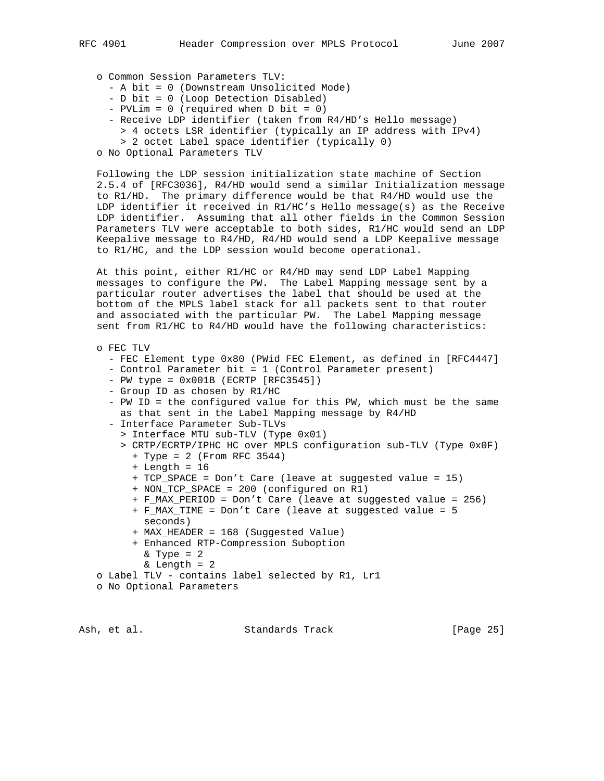- o Common Session Parameters TLV:
	- A bit = 0 (Downstream Unsolicited Mode)
	- D bit = 0 (Loop Detection Disabled)
	- PVLim = 0 (required when D bit = 0)
	- Receive LDP identifier (taken from R4/HD's Hello message)
		- > 4 octets LSR identifier (typically an IP address with IPv4)
		- > 2 octet Label space identifier (typically 0)
- o No Optional Parameters TLV

 Following the LDP session initialization state machine of Section 2.5.4 of [RFC3036], R4/HD would send a similar Initialization message to R1/HD. The primary difference would be that R4/HD would use the LDP identifier it received in R1/HC's Hello message(s) as the Receive LDP identifier. Assuming that all other fields in the Common Session Parameters TLV were acceptable to both sides, R1/HC would send an LDP Keepalive message to R4/HD, R4/HD would send a LDP Keepalive message to R1/HC, and the LDP session would become operational.

 At this point, either R1/HC or R4/HD may send LDP Label Mapping messages to configure the PW. The Label Mapping message sent by a particular router advertises the label that should be used at the bottom of the MPLS label stack for all packets sent to that router and associated with the particular PW. The Label Mapping message sent from R1/HC to R4/HD would have the following characteristics:

```
 o FEC TLV
```
- FEC Element type 0x80 (PWid FEC Element, as defined in [RFC4447]
- Control Parameter bit = 1 (Control Parameter present)
- $-$  PW type =  $0x001B$  (ECRTP [RFC3545])
- Group ID as chosen by R1/HC
- PW ID = the configured value for this PW, which must be the same as that sent in the Label Mapping message by R4/HD
- Interface Parameter Sub-TLVs
	- > Interface MTU sub-TLV (Type 0x01)
	- > CRTP/ECRTP/IPHC HC over MPLS configuration sub-TLV (Type 0x0F)
		- + Type = 2 (From RFC 3544)
		- + Length = 16
		- + TCP\_SPACE = Don't Care (leave at suggested value = 15)
		- + NON\_TCP\_SPACE = 200 (configured on R1)
		- + F\_MAX\_PERIOD = Don't Care (leave at suggested value = 256)
		- + F\_MAX\_TIME = Don't Care (leave at suggested value = 5 seconds)
		- + MAX\_HEADER = 168 (Suggested Value)
		- + Enhanced RTP-Compression Suboption
			- $&$  Type = 2
			- $&$  Length = 2
- o Label TLV contains label selected by R1, Lr1
- o No Optional Parameters

Ash, et al. Standards Track [Page 25]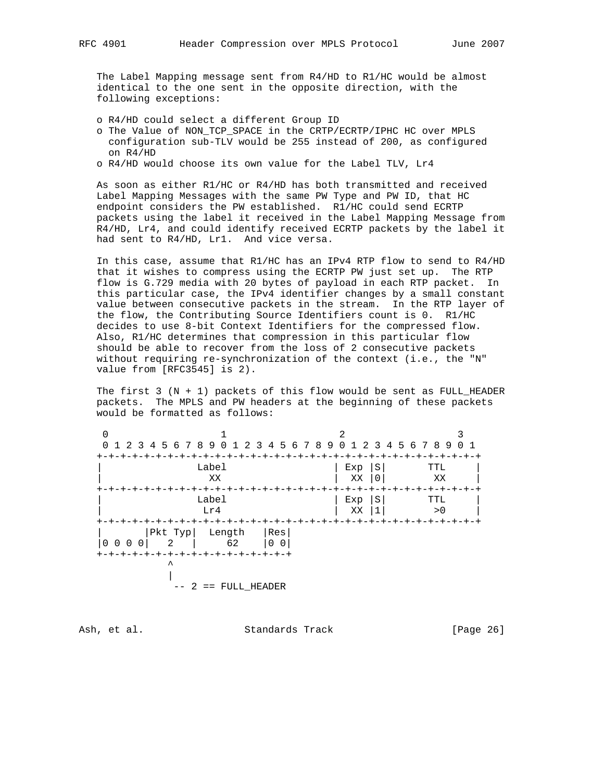The Label Mapping message sent from R4/HD to R1/HC would be almost identical to the one sent in the opposite direction, with the following exceptions:

- o R4/HD could select a different Group ID
- o The Value of NON\_TCP\_SPACE in the CRTP/ECRTP/IPHC HC over MPLS configuration sub-TLV would be 255 instead of 200, as configured on R4/HD
- o R4/HD would choose its own value for the Label TLV, Lr4

 As soon as either R1/HC or R4/HD has both transmitted and received Label Mapping Messages with the same PW Type and PW ID, that HC endpoint considers the PW established. R1/HC could send ECRTP packets using the label it received in the Label Mapping Message from R4/HD, Lr4, and could identify received ECRTP packets by the label it had sent to R4/HD, Lr1. And vice versa.

 In this case, assume that R1/HC has an IPv4 RTP flow to send to R4/HD that it wishes to compress using the ECRTP PW just set up. The RTP flow is G.729 media with 20 bytes of payload in each RTP packet. In this particular case, the IPv4 identifier changes by a small constant value between consecutive packets in the stream. In the RTP layer of the flow, the Contributing Source Identifiers count is 0. R1/HC decides to use 8-bit Context Identifiers for the compressed flow. Also, R1/HC determines that compression in this particular flow should be able to recover from the loss of 2 consecutive packets without requiring re-synchronization of the context (i.e., the "N" value from [RFC3545] is 2).

The first  $3$  (N + 1) packets of this flow would be sent as FULL\_HEADER packets. The MPLS and PW headers at the beginning of these packets would be formatted as follows:

| 0 1 2 3 4 5 6 7 8 9 0 1 2 3 4 5 6 7 8 9 0 1 2 3 4 5 6 7 8 9 0 1                                               |                           |                        |  |
|---------------------------------------------------------------------------------------------------------------|---------------------------|------------------------|--|
|                                                                                                               |                           |                        |  |
| Label                                                                                                         | Exp                       | S<br>TTL               |  |
| XX                                                                                                            | XX                        | XX                     |  |
|                                                                                                               | -+-+-+-+-+-+-+-+-+-+-+-+- | -+-+-+-+-+-+--         |  |
| Label                                                                                                         | Exp                       | S<br>TTL               |  |
| Lr4                                                                                                           | XX                        | > 0                    |  |
|                                                                                                               |                           | -+-+-+-+-+-+-+-+-+-+-+ |  |
| $\begin{array}{c c c c c} & & \text{Pkt Type} & & \text{Length} \\ \hline 0 & 0 & 0 & 0 & 2 & 62 \end{array}$ | Res                       |                        |  |
| $ 00\rangle$                                                                                                  |                           |                        |  |
| -+-+-+-+-+-+-+-+-+-+-+-+-+-+-+-+-                                                                             |                           |                        |  |
|                                                                                                               |                           |                        |  |
|                                                                                                               |                           |                        |  |
| == FULL HEADER                                                                                                |                           |                        |  |

Ash, et al. Standards Track [Page 26]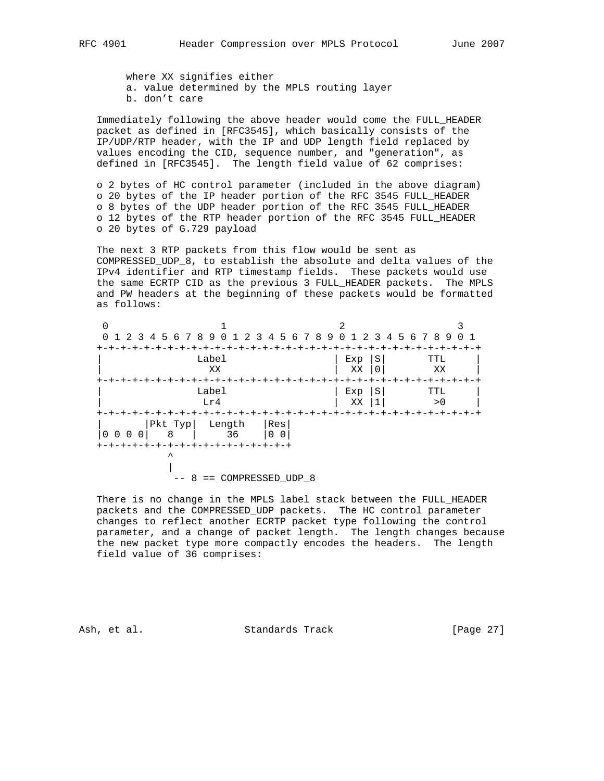where XX signifies either

a. value determined by the MPLS routing layer

b. don't care

 Immediately following the above header would come the FULL\_HEADER packet as defined in [RFC3545], which basically consists of the IP/UDP/RTP header, with the IP and UDP length field replaced by values encoding the CID, sequence number, and "generation", as defined in [RFC3545]. The length field value of 62 comprises:

 o 2 bytes of HC control parameter (included in the above diagram) o 20 bytes of the IP header portion of the RFC 3545 FULL\_HEADER o 8 bytes of the UDP header portion of the RFC 3545 FULL\_HEADER o 12 bytes of the RTP header portion of the RFC 3545 FULL\_HEADER o 20 bytes of G.729 payload

 The next 3 RTP packets from this flow would be sent as COMPRESSED\_UDP\_8, to establish the absolute and delta values of the IPv4 identifier and RTP timestamp fields. These packets would use the same ECRTP CID as the previous 3 FULL\_HEADER packets. The MPLS and PW headers at the beginning of these packets would be formatted as follows:

|                   | 0 1 2 3 4 5 6 7 8 9 0 1 2 3 4 5 6 7 8 9 0 1 2 3 4 5 6 7 8 9          |              |                       |                                                |              |            |
|-------------------|----------------------------------------------------------------------|--------------|-----------------------|------------------------------------------------|--------------|------------|
|                   |                                                                      | Label<br>XX  |                       | -+-+-+-+-+-+-+-+-+-+-+-+-+-+-+-+-+-+-+-<br>Exp | S<br>XX   0  | TTL<br>XX  |
|                   |                                                                      | Label<br>Lr4 |                       | -+-+-+-+-+-+-+-+-+-+-+-+-+-+-+-+-+-+-+<br>Exp  | S<br>$XX$  1 | TTL<br>> 0 |
| $0\quad 0\quad 0$ | Pkt Typ Length<br>0 8 136<br>+-+-+-+-+-+-+-+-+-+-+-+-+-+-+-+-+-<br>⋏ |              | Res<br>0 <sub>0</sub> | +-+-+-+-+-+-+-+-+-+-+-+-+-+-+                  |              |            |

 $--$  8 == COMPRESSED\_UDP\_8

 There is no change in the MPLS label stack between the FULL\_HEADER packets and the COMPRESSED\_UDP packets. The HC control parameter changes to reflect another ECRTP packet type following the control parameter, and a change of packet length. The length changes because the new packet type more compactly encodes the headers. The length field value of 36 comprises:

Ash, et al. Standards Track [Page 27]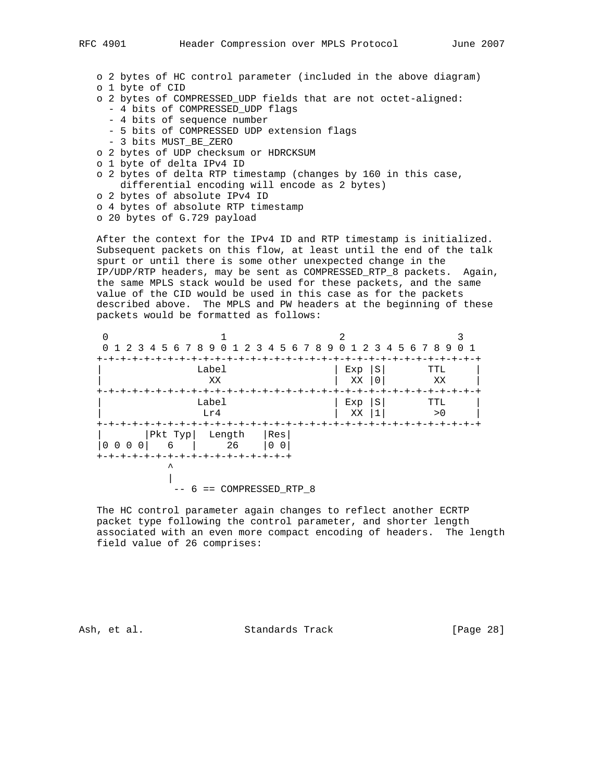- o 2 bytes of HC control parameter (included in the above diagram)
- o 1 byte of CID
- o 2 bytes of COMPRESSED\_UDP fields that are not octet-aligned:
	- 4 bits of COMPRESSED\_UDP flags
	- 4 bits of sequence number
	- 5 bits of COMPRESSED UDP extension flags
	- 3 bits MUST\_BE\_ZERO
- o 2 bytes of UDP checksum or HDRCKSUM
- o 1 byte of delta IPv4 ID
- o 2 bytes of delta RTP timestamp (changes by 160 in this case, differential encoding will encode as 2 bytes)
- o 2 bytes of absolute IPv4 ID
- o 4 bytes of absolute RTP timestamp
- o 20 bytes of G.729 payload

 After the context for the IPv4 ID and RTP timestamp is initialized. Subsequent packets on this flow, at least until the end of the talk spurt or until there is some other unexpected change in the IP/UDP/RTP headers, may be sent as COMPRESSED\_RTP\_8 packets. Again, the same MPLS stack would be used for these packets, and the same value of the CID would be used in this case as for the packets described above. The MPLS and PW headers at the beginning of these packets would be formatted as follows:

| 0 1 2 3 4 5 6 7 8 9 0 1 2 3 4 5 6 7 8 9 0 1 2 3 4 5 6 7 8 9 0 1 |                            |     |     |   |                            |  |
|-----------------------------------------------------------------|----------------------------|-----|-----|---|----------------------------|--|
|                                                                 |                            |     |     |   |                            |  |
|                                                                 | Label                      |     | Exp | S | TTL                        |  |
|                                                                 | XX                         |     | XX  |   | XX                         |  |
|                                                                 |                            |     |     |   | -+-+-+-+-+-+-+-+-+-+-+-+   |  |
|                                                                 | Label                      |     | Exp | S | TTL                        |  |
|                                                                 | Lr4                        |     | XX  |   | > 0                        |  |
|                                                                 |                            |     |     |   | +-+-+-+-+-+-+-+-+-+-+-+-+- |  |
|                                                                 |                            | Res |     |   |                            |  |
| $0\quad0$<br>0                                                  |                            | 00  |     |   |                            |  |
| -+-+-+-+-+-+-+-+-+-+-+-+-+-+-+-                                 |                            |     |     |   |                            |  |
|                                                                 |                            |     |     |   |                            |  |
|                                                                 |                            |     |     |   |                            |  |
|                                                                 | $-- 6 == COMPRESSED RTP 8$ |     |     |   |                            |  |

 The HC control parameter again changes to reflect another ECRTP packet type following the control parameter, and shorter length associated with an even more compact encoding of headers. The length field value of 26 comprises:

Ash, et al. Standards Track [Page 28]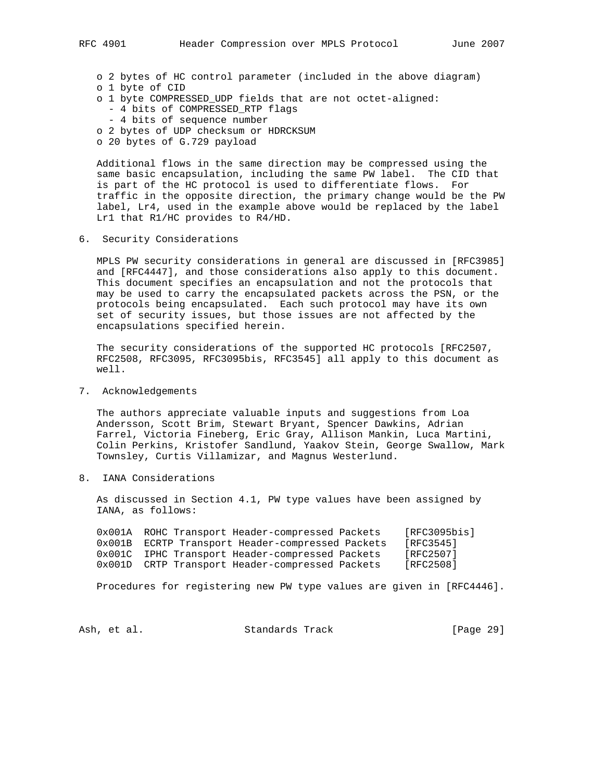- o 2 bytes of HC control parameter (included in the above diagram)
- o 1 byte of CID
- o 1 byte COMPRESSED\_UDP fields that are not octet-aligned:
	- 4 bits of COMPRESSED\_RTP flags
	- 4 bits of sequence number
- o 2 bytes of UDP checksum or HDRCKSUM
- o 20 bytes of G.729 payload

 Additional flows in the same direction may be compressed using the same basic encapsulation, including the same PW label. The CID that is part of the HC protocol is used to differentiate flows. For traffic in the opposite direction, the primary change would be the PW label, Lr4, used in the example above would be replaced by the label Lr1 that R1/HC provides to R4/HD.

6. Security Considerations

 MPLS PW security considerations in general are discussed in [RFC3985] and [RFC4447], and those considerations also apply to this document. This document specifies an encapsulation and not the protocols that may be used to carry the encapsulated packets across the PSN, or the protocols being encapsulated. Each such protocol may have its own set of security issues, but those issues are not affected by the encapsulations specified herein.

 The security considerations of the supported HC protocols [RFC2507, RFC2508, RFC3095, RFC3095bis, RFC3545] all apply to this document as well.

7. Acknowledgements

 The authors appreciate valuable inputs and suggestions from Loa Andersson, Scott Brim, Stewart Bryant, Spencer Dawkins, Adrian Farrel, Victoria Fineberg, Eric Gray, Allison Mankin, Luca Martini, Colin Perkins, Kristofer Sandlund, Yaakov Stein, George Swallow, Mark Townsley, Curtis Villamizar, and Magnus Westerlund.

8. IANA Considerations

 As discussed in Section 4.1, PW type values have been assigned by IANA, as follows:

 0x001A ROHC Transport Header-compressed Packets [RFC3095bis] 0x001B ECRTP Transport Header-compressed Packets [RFC3545] 0x001C IPHC Transport Header-compressed Packets [RFC2507] 0x001D CRTP Transport Header-compressed Packets [RFC2508]

Procedures for registering new PW type values are given in [RFC4446].

Ash, et al. Standards Track [Page 29]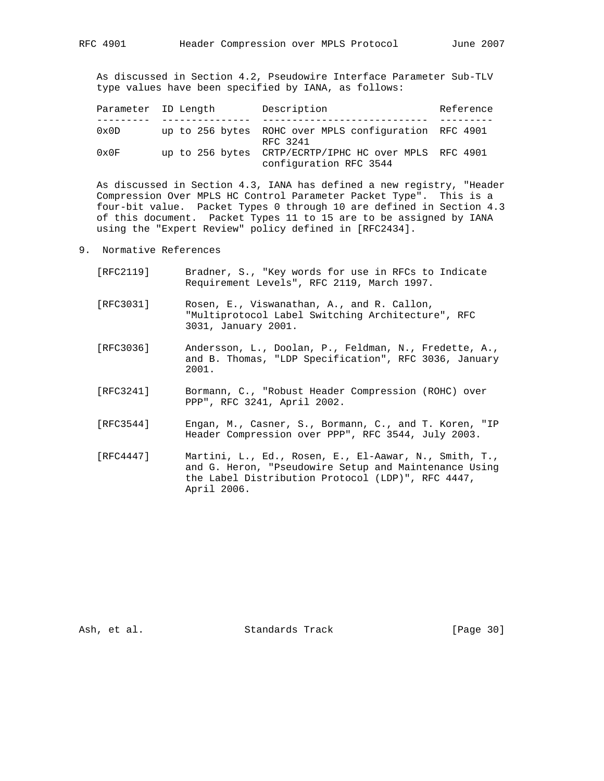As discussed in Section 4.2, Pseudowire Interface Parameter Sub-TLV type values have been specified by IANA, as follows:

|                | Parameter ID Length | Description                                                       | Reference |
|----------------|---------------------|-------------------------------------------------------------------|-----------|
|                |                     |                                                                   |           |
| $0 \times 0$ D |                     | up to 256 bytes ROHC over MPLS configuration RFC 4901<br>RFC 3241 |           |
| $0 \times 0 F$ | up to 256 bytes     | CRTP/ECRTP/IPHC HC over MPLS RFC 4901<br>configuration RFC 3544   |           |

 As discussed in Section 4.3, IANA has defined a new registry, "Header Compression Over MPLS HC Control Parameter Packet Type". This is a four-bit value. Packet Types 0 through 10 are defined in Section 4.3 of this document. Packet Types 11 to 15 are to be assigned by IANA using the "Expert Review" policy defined in [RFC2434].

- 9. Normative References
	- [RFC2119] Bradner, S., "Key words for use in RFCs to Indicate Requirement Levels", RFC 2119, March 1997.
	- [RFC3031] Rosen, E., Viswanathan, A., and R. Callon, "Multiprotocol Label Switching Architecture", RFC 3031, January 2001.
	- [RFC3036] Andersson, L., Doolan, P., Feldman, N., Fredette, A., and B. Thomas, "LDP Specification", RFC 3036, January 2001.
	- [RFC3241] Bormann, C., "Robust Header Compression (ROHC) over PPP", RFC 3241, April 2002.
	- [RFC3544] Engan, M., Casner, S., Bormann, C., and T. Koren, "IP Header Compression over PPP", RFC 3544, July 2003.
	- [RFC4447] Martini, L., Ed., Rosen, E., El-Aawar, N., Smith, T., and G. Heron, "Pseudowire Setup and Maintenance Using the Label Distribution Protocol (LDP)", RFC 4447, April 2006.

Ash, et al. Standards Track [Page 30]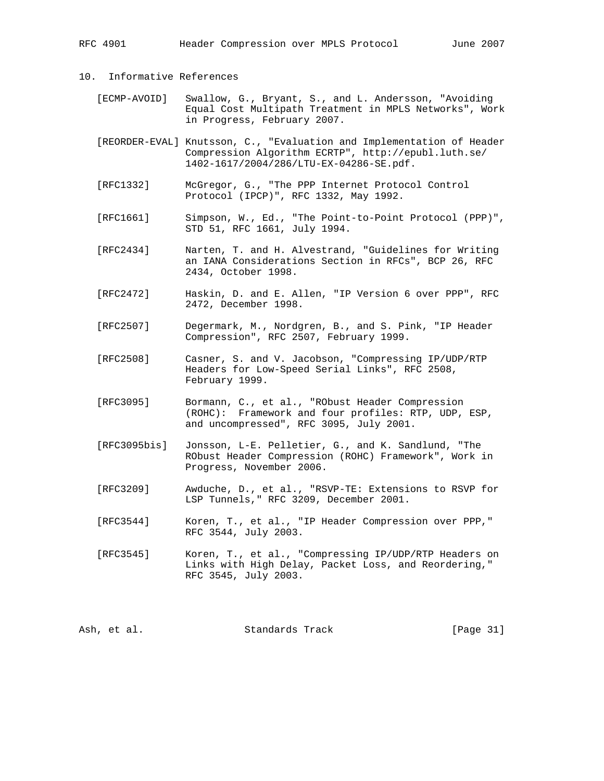# 10. Informative References

- [ECMP-AVOID] Swallow, G., Bryant, S., and L. Andersson, "Avoiding Equal Cost Multipath Treatment in MPLS Networks", Work in Progress, February 2007.
- [REORDER-EVAL] Knutsson, C., "Evaluation and Implementation of Header Compression Algorithm ECRTP", http://epubl.luth.se/ 1402-1617/2004/286/LTU-EX-04286-SE.pdf.
- [RFC1332] McGregor, G., "The PPP Internet Protocol Control Protocol (IPCP)", RFC 1332, May 1992.
- [RFC1661] Simpson, W., Ed., "The Point-to-Point Protocol (PPP)", STD 51, RFC 1661, July 1994.
- [RFC2434] Narten, T. and H. Alvestrand, "Guidelines for Writing an IANA Considerations Section in RFCs", BCP 26, RFC 2434, October 1998.
- [RFC2472] Haskin, D. and E. Allen, "IP Version 6 over PPP", RFC 2472, December 1998.
- [RFC2507] Degermark, M., Nordgren, B., and S. Pink, "IP Header Compression", RFC 2507, February 1999.
- [RFC2508] Casner, S. and V. Jacobson, "Compressing IP/UDP/RTP Headers for Low-Speed Serial Links", RFC 2508, February 1999.
- [RFC3095] Bormann, C., et al., "RObust Header Compression (ROHC): Framework and four profiles: RTP, UDP, ESP, and uncompressed", RFC 3095, July 2001.
- [RFC3095bis] Jonsson, L-E. Pelletier, G., and K. Sandlund, "The RObust Header Compression (ROHC) Framework", Work in Progress, November 2006.
- [RFC3209] Awduche, D., et al., "RSVP-TE: Extensions to RSVP for LSP Tunnels," RFC 3209, December 2001.
- [RFC3544] Koren, T., et al., "IP Header Compression over PPP," RFC 3544, July 2003.
- [RFC3545] Koren, T., et al., "Compressing IP/UDP/RTP Headers on Links with High Delay, Packet Loss, and Reordering," RFC 3545, July 2003.

|  | Ash, et al. | Standards Track |  | [Page 31] |  |  |
|--|-------------|-----------------|--|-----------|--|--|
|--|-------------|-----------------|--|-----------|--|--|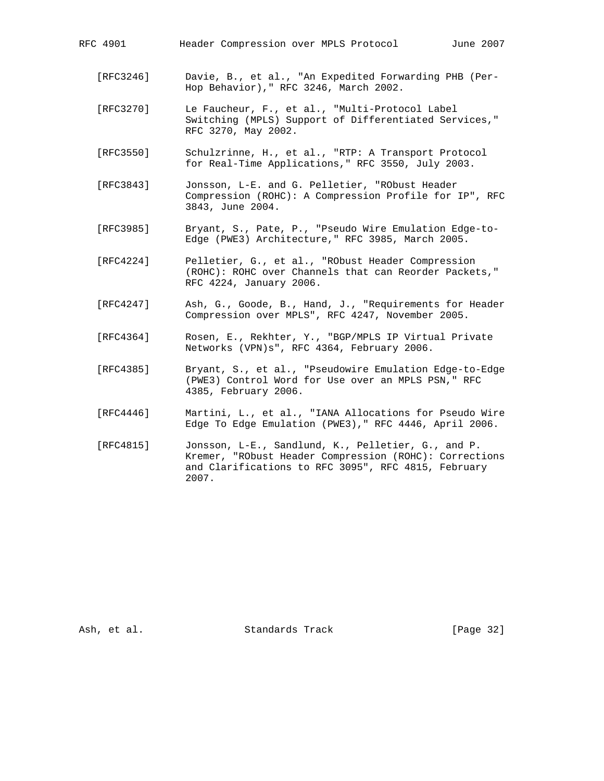- [RFC3246] Davie, B., et al., "An Expedited Forwarding PHB (Per- Hop Behavior)," RFC 3246, March 2002.
- [RFC3270] Le Faucheur, F., et al., "Multi-Protocol Label Switching (MPLS) Support of Differentiated Services," RFC 3270, May 2002.
- [RFC3550] Schulzrinne, H., et al., "RTP: A Transport Protocol for Real-Time Applications," RFC 3550, July 2003.
- [RFC3843] Jonsson, L-E. and G. Pelletier, "RObust Header Compression (ROHC): A Compression Profile for IP", RFC 3843, June 2004.
- [RFC3985] Bryant, S., Pate, P., "Pseudo Wire Emulation Edge-to- Edge (PWE3) Architecture," RFC 3985, March 2005.
- [RFC4224] Pelletier, G., et al., "RObust Header Compression (ROHC): ROHC over Channels that can Reorder Packets," RFC 4224, January 2006.
- [RFC4247] Ash, G., Goode, B., Hand, J., "Requirements for Header Compression over MPLS", RFC 4247, November 2005.
- [RFC4364] Rosen, E., Rekhter, Y., "BGP/MPLS IP Virtual Private Networks (VPN)s", RFC 4364, February 2006.
- [RFC4385] Bryant, S., et al., "Pseudowire Emulation Edge-to-Edge (PWE3) Control Word for Use over an MPLS PSN," RFC 4385, February 2006.
- [RFC4446] Martini, L., et al., "IANA Allocations for Pseudo Wire Edge To Edge Emulation (PWE3)," RFC 4446, April 2006.
- [RFC4815] Jonsson, L-E., Sandlund, K., Pelletier, G., and P. Kremer, "RObust Header Compression (ROHC): Corrections and Clarifications to RFC 3095", RFC 4815, February 2007.

Ash, et al. Standards Track [Page 32]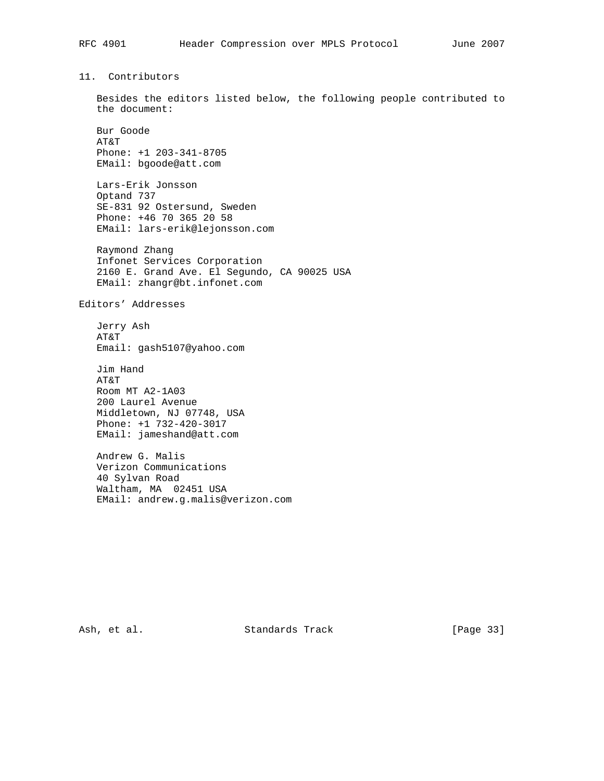11. Contributors

 Besides the editors listed below, the following people contributed to the document:

 Bur Goode AT&T Phone: +1 203-341-8705 EMail: bgoode@att.com

 Lars-Erik Jonsson Optand 737 SE-831 92 Ostersund, Sweden Phone: +46 70 365 20 58 EMail: lars-erik@lejonsson.com

 Raymond Zhang Infonet Services Corporation 2160 E. Grand Ave. El Segundo, CA 90025 USA EMail: zhangr@bt.infonet.com

Editors' Addresses

 Jerry Ash AT&T Email: gash5107@yahoo.com

 Jim Hand AT&T Room MT A2-1A03 200 Laurel Avenue Middletown, NJ 07748, USA Phone: +1 732-420-3017 EMail: jameshand@att.com

 Andrew G. Malis Verizon Communications 40 Sylvan Road Waltham, MA 02451 USA EMail: andrew.g.malis@verizon.com

Ash, et al. Standards Track [Page 33]